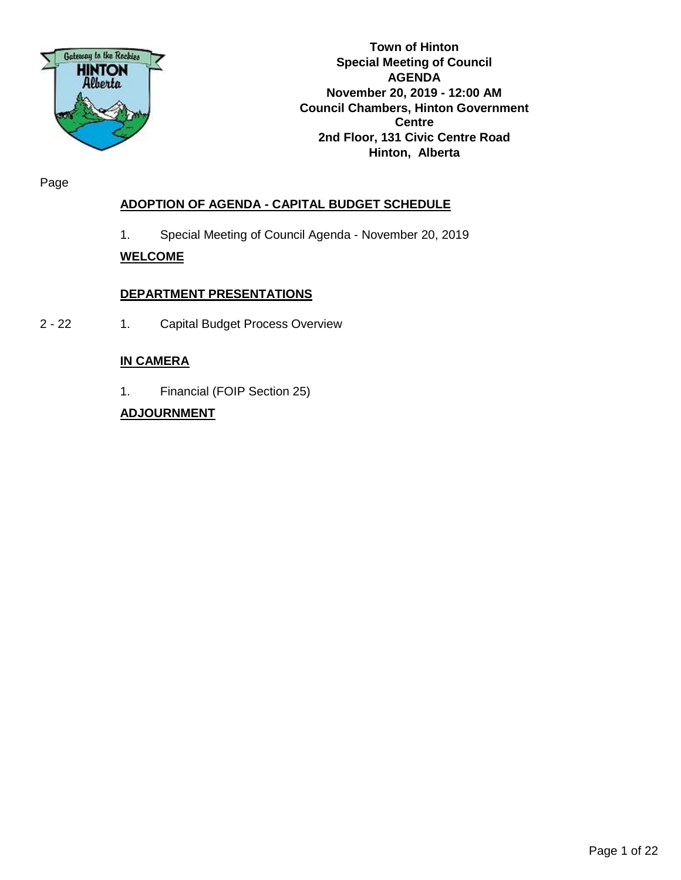

**Town of Hinton Special Meeting of Council AGENDA November 20, 2019 - 12:00 AM Council Chambers, Hinton Government Centre 2nd Floor, 131 Civic Centre Road Hinton, Alberta**

Page

### **ADOPTION OF AGENDA - CAPITAL BUDGET SCHEDULE**

1. Special Meeting of Council Agenda - November 20, 2019

### **WELCOME**

### **DEPARTMENT PRESENTATIONS**

2 - 22 1. Capital Budget Process Overview

### **IN CAMERA**

1. Financial (FOIP Section 25)

### **ADJOURNMENT**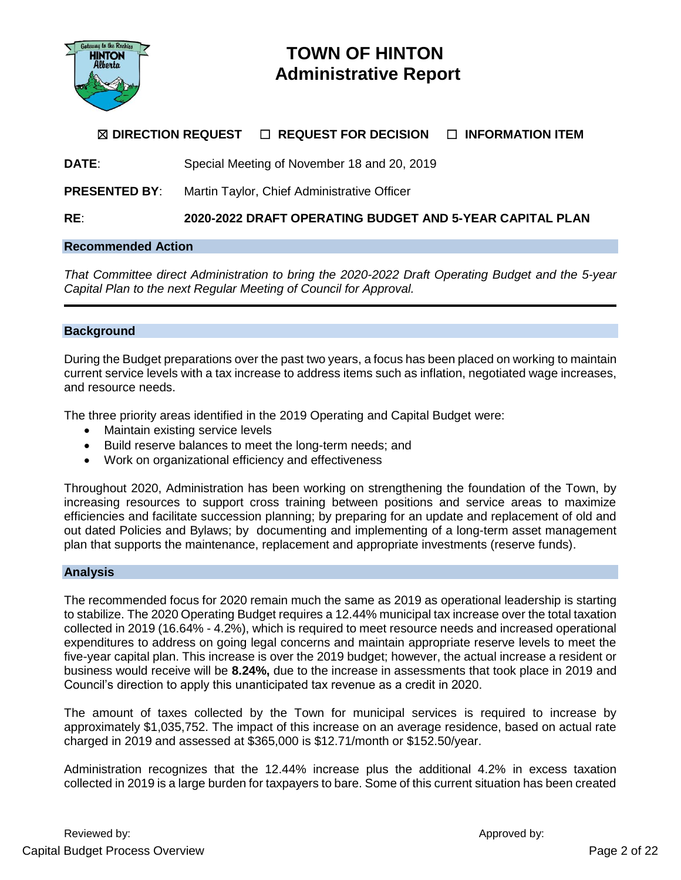

## **TOWN OF HINTON Administrative Report**

### ☒ **DIRECTION REQUEST** ☐ **REQUEST FOR DECISION** ☐ **INFORMATION ITEM**

**DATE**: Special Meeting of November 18 and 20, 2019

**PRESENTED BY:** Martin Taylor, Chief Administrative Officer

**RE**: **2020-2022 DRAFT OPERATING BUDGET AND 5-YEAR CAPITAL PLAN**

### **Recommended Action**

*That Committee direct Administration to bring the 2020-2022 Draft Operating Budget and the 5-year Capital Plan to the next Regular Meeting of Council for Approval.*

### **Background**

During the Budget preparations over the past two years, a focus has been placed on working to maintain current service levels with a tax increase to address items such as inflation, negotiated wage increases, and resource needs.

The three priority areas identified in the 2019 Operating and Capital Budget were:

- Maintain existing service levels
- Build reserve balances to meet the long-term needs; and
- Work on organizational efficiency and effectiveness

Throughout 2020, Administration has been working on strengthening the foundation of the Town, by increasing resources to support cross training between positions and service areas to maximize efficiencies and facilitate succession planning; by preparing for an update and replacement of old and out dated Policies and Bylaws; by documenting and implementing of a long-term asset management plan that supports the maintenance, replacement and appropriate investments (reserve funds).

### **Analysis**

The recommended focus for 2020 remain much the same as 2019 as operational leadership is starting to stabilize. The 2020 Operating Budget requires a 12.44% municipal tax increase over the total taxation collected in 2019 (16.64% - 4.2%), which is required to meet resource needs and increased operational expenditures to address on going legal concerns and maintain appropriate reserve levels to meet the five-year capital plan. This increase is over the 2019 budget; however, the actual increase a resident or business would receive will be **8.24%,** due to the increase in assessments that took place in 2019 and Council's direction to apply this unanticipated tax revenue as a credit in 2020.

The amount of taxes collected by the Town for municipal services is required to increase by approximately \$1,035,752. The impact of this increase on an average residence, based on actual rate charged in 2019 and assessed at \$365,000 is \$12.71/month or \$152.50/year.

Administration recognizes that the 12.44% increase plus the additional 4.2% in excess taxation collected in 2019 is a large burden for taxpayers to bare. Some of this current situation has been created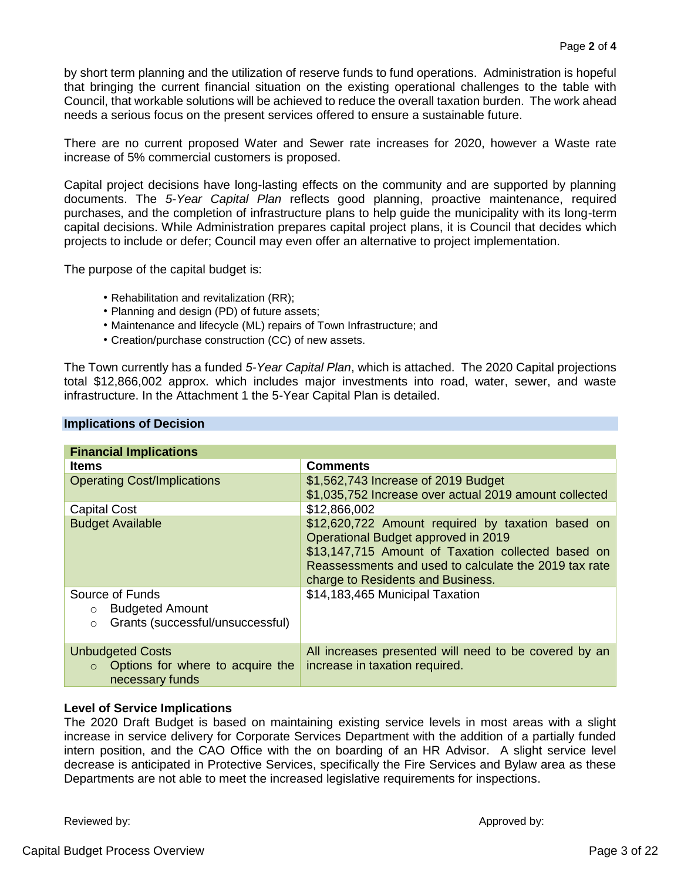by short term planning and the utilization of reserve funds to fund operations. Administration is hopeful that bringing the current financial situation on the existing operational challenges to the table with Council, that workable solutions will be achieved to reduce the overall taxation burden. The work ahead needs a serious focus on the present services offered to ensure a sustainable future.

There are no current proposed Water and Sewer rate increases for 2020, however a Waste rate increase of 5% commercial customers is proposed.

Capital project decisions have long-lasting effects on the community and are supported by planning documents. The *5-Year Capital Plan* reflects good planning, proactive maintenance, required purchases, and the completion of infrastructure plans to help guide the municipality with its long-term capital decisions. While Administration prepares capital project plans, it is Council that decides which projects to include or defer; Council may even offer an alternative to project implementation.

The purpose of the capital budget is:

- Rehabilitation and revitalization (RR);
- Planning and design (PD) of future assets;
- Maintenance and lifecycle (ML) repairs of Town Infrastructure; and
- Creation/purchase construction (CC) of new assets.

The Town currently has a funded *5-Year Capital Plan*, which is attached. The 2020 Capital projections total \$12,866,002 approx. which includes major investments into road, water, sewer, and waste infrastructure. In the Attachment 1 the 5-Year Capital Plan is detailed.

| <b>Financial Implications</b>                                  |                                                                                                                                                                                                                                              |
|----------------------------------------------------------------|----------------------------------------------------------------------------------------------------------------------------------------------------------------------------------------------------------------------------------------------|
| <b>Items</b>                                                   | <b>Comments</b>                                                                                                                                                                                                                              |
| <b>Operating Cost/Implications</b>                             | \$1,562,743 Increase of 2019 Budget                                                                                                                                                                                                          |
|                                                                | \$1,035,752 Increase over actual 2019 amount collected                                                                                                                                                                                       |
| <b>Capital Cost</b>                                            | \$12,866,002                                                                                                                                                                                                                                 |
| <b>Budget Available</b>                                        | \$12,620,722 Amount required by taxation based on<br>Operational Budget approved in 2019<br>\$13,147,715 Amount of Taxation collected based on<br>Reassessments and used to calculate the 2019 tax rate<br>charge to Residents and Business. |
| Source of Funds                                                | \$14,183,465 Municipal Taxation                                                                                                                                                                                                              |
| <b>Budgeted Amount</b><br>$\circ$                              |                                                                                                                                                                                                                                              |
| Grants (successful/unsuccessful)<br>$\circ$                    |                                                                                                                                                                                                                                              |
| <b>Unbudgeted Costs</b>                                        | All increases presented will need to be covered by an                                                                                                                                                                                        |
| Options for where to acquire the<br>$\circ$<br>necessary funds | increase in taxation required.                                                                                                                                                                                                               |

### **Implications of Decision**

### **Level of Service Implications**

The 2020 Draft Budget is based on maintaining existing service levels in most areas with a slight increase in service delivery for Corporate Services Department with the addition of a partially funded intern position, and the CAO Office with the on boarding of an HR Advisor. A slight service level decrease is anticipated in Protective Services, specifically the Fire Services and Bylaw area as these Departments are not able to meet the increased legislative requirements for inspections.

Reviewed by:  $\blacksquare$  Approved by: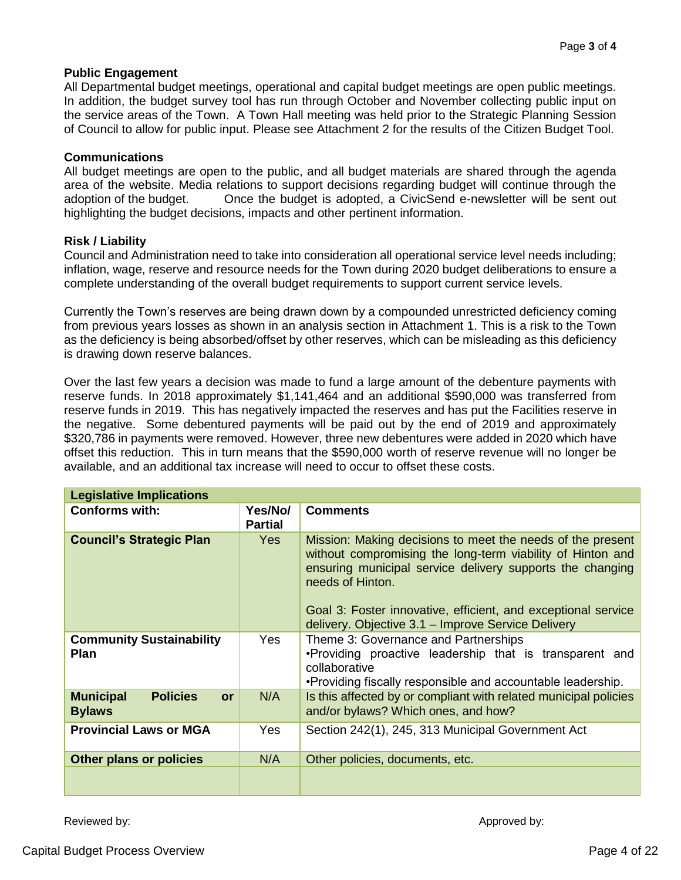### **Public Engagement**

All Departmental budget meetings, operational and capital budget meetings are open public meetings. In addition, the budget survey tool has run through October and November collecting public input on the service areas of the Town. A Town Hall meeting was held prior to the Strategic Planning Session of Council to allow for public input. Please see Attachment 2 for the results of the Citizen Budget Tool.

### **Communications**

All budget meetings are open to the public, and all budget materials are shared through the agenda area of the website. Media relations to support decisions regarding budget will continue through the adoption of the budget. Once the budget is adopted, a CivicSend e-newsletter will be sent out highlighting the budget decisions, impacts and other pertinent information.

### **Risk / Liability**

Council and Administration need to take into consideration all operational service level needs including; inflation, wage, reserve and resource needs for the Town during 2020 budget deliberations to ensure a complete understanding of the overall budget requirements to support current service levels.

Currently the Town's reserves are being drawn down by a compounded unrestricted deficiency coming from previous years losses as shown in an analysis section in Attachment 1. This is a risk to the Town as the deficiency is being absorbed/offset by other reserves, which can be misleading as this deficiency is drawing down reserve balances.

Over the last few years a decision was made to fund a large amount of the debenture payments with reserve funds. In 2018 approximately \$1,141,464 and an additional \$590,000 was transferred from reserve funds in 2019. This has negatively impacted the reserves and has put the Facilities reserve in the negative. Some debentured payments will be paid out by the end of 2019 and approximately \$320,786 in payments were removed. However, three new debentures were added in 2020 which have offset this reduction. This in turn means that the \$590,000 worth of reserve revenue will no longer be available, and an additional tax increase will need to occur to offset these costs.

| <b>Legislative Implications</b>                            |                           |                                                                                                                                                                                                           |
|------------------------------------------------------------|---------------------------|-----------------------------------------------------------------------------------------------------------------------------------------------------------------------------------------------------------|
| <b>Conforms with:</b>                                      | Yes/No/<br><b>Partial</b> | <b>Comments</b>                                                                                                                                                                                           |
| <b>Council's Strategic Plan</b>                            | Yes                       | Mission: Making decisions to meet the needs of the present<br>without compromising the long-term viability of Hinton and<br>ensuring municipal service delivery supports the changing<br>needs of Hinton. |
|                                                            |                           | Goal 3: Foster innovative, efficient, and exceptional service<br>delivery. Objective 3.1 - Improve Service Delivery                                                                                       |
| <b>Community Sustainability</b><br><b>Plan</b>             | Yes                       | Theme 3: Governance and Partnerships<br>.Providing proactive leadership that is transparent and<br>collaborative<br>•Providing fiscally responsible and accountable leadership.                           |
| <b>Policies</b><br><b>Municipal</b><br>or<br><b>Bylaws</b> | N/A                       | Is this affected by or compliant with related municipal policies<br>and/or bylaws? Which ones, and how?                                                                                                   |
| <b>Provincial Laws or MGA</b>                              | <b>Yes</b>                | Section 242(1), 245, 313 Municipal Government Act                                                                                                                                                         |
| <b>Other plans or policies</b>                             | N/A                       | Other policies, documents, etc.                                                                                                                                                                           |
|                                                            |                           |                                                                                                                                                                                                           |

Reviewed by:  $\blacksquare$  Approved by: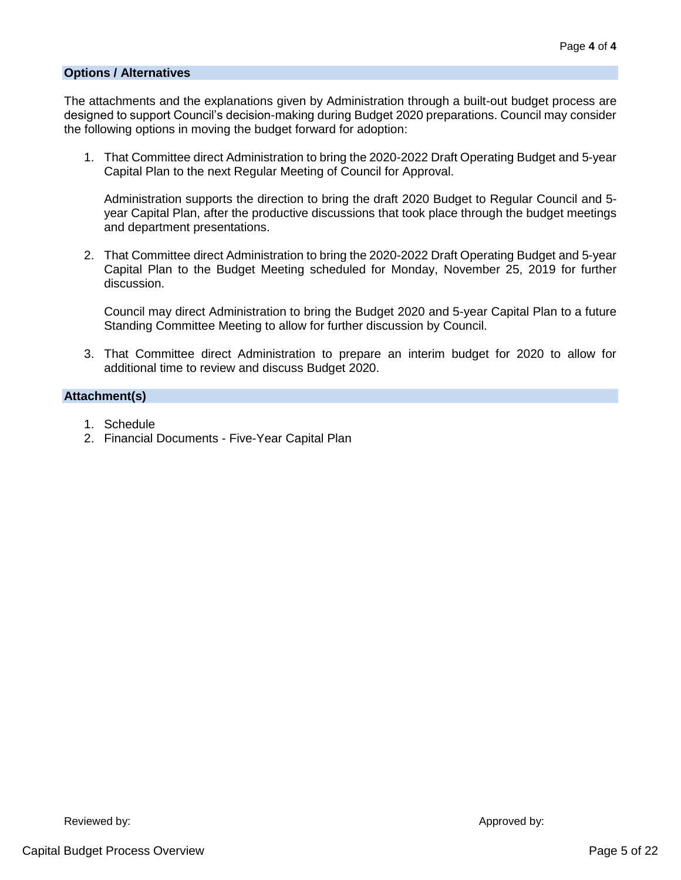### **Options / Alternatives**

The attachments and the explanations given by Administration through a built-out budget process are designed to support Council's decision-making during Budget 2020 preparations. Council may consider the following options in moving the budget forward for adoption:

1. That Committee direct Administration to bring the 2020-2022 Draft Operating Budget and 5-year Capital Plan to the next Regular Meeting of Council for Approval.

Administration supports the direction to bring the draft 2020 Budget to Regular Council and 5 year Capital Plan, after the productive discussions that took place through the budget meetings and department presentations.

2. That Committee direct Administration to bring the 2020-2022 Draft Operating Budget and 5-year Capital Plan to the Budget Meeting scheduled for Monday, November 25, 2019 for further discussion.

Council may direct Administration to bring the Budget 2020 and 5-year Capital Plan to a future Standing Committee Meeting to allow for further discussion by Council.

3. That Committee direct Administration to prepare an interim budget for 2020 to allow for additional time to review and discuss Budget 2020.

### **Attachment(s)**

- 1. Schedule
- 2. Financial Documents Five-Year Capital Plan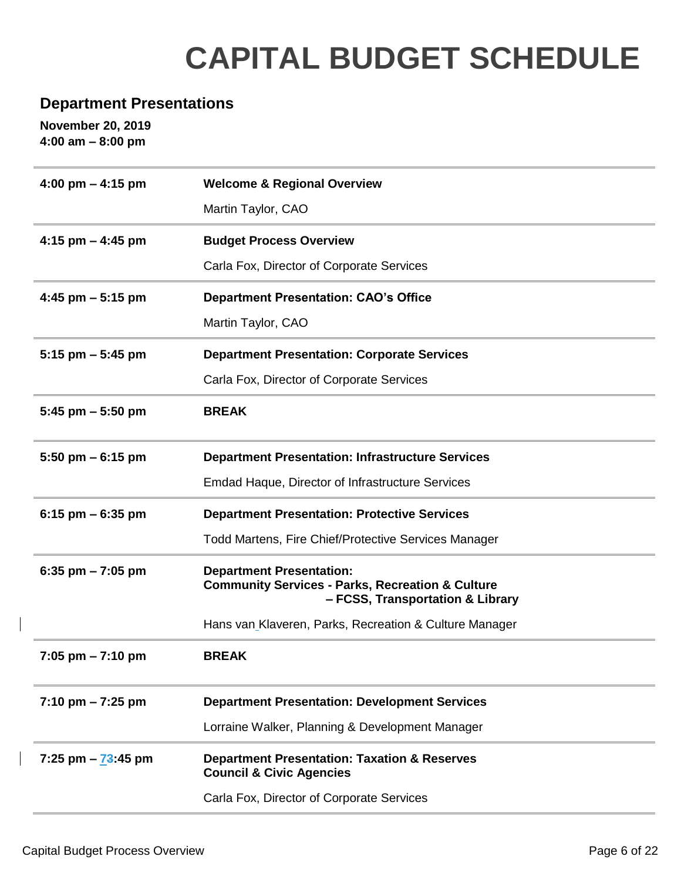# **CAPITAL BUDGET SCHEDULE**

### **Department Presentations**

**November 20, 2019 4:00 am – 8:00 pm**

| 4:00 pm $-$ 4:15 pm                 | <b>Welcome &amp; Regional Overview</b>                                                                                             |
|-------------------------------------|------------------------------------------------------------------------------------------------------------------------------------|
|                                     | Martin Taylor, CAO                                                                                                                 |
| 4:15 pm $-$ 4:45 pm                 | <b>Budget Process Overview</b>                                                                                                     |
|                                     | Carla Fox, Director of Corporate Services                                                                                          |
| 4:45 pm $-5:15$ pm                  | <b>Department Presentation: CAO's Office</b>                                                                                       |
|                                     | Martin Taylor, CAO                                                                                                                 |
| $5:15$ pm $-5:45$ pm                | <b>Department Presentation: Corporate Services</b>                                                                                 |
|                                     | Carla Fox, Director of Corporate Services                                                                                          |
| 5:45 pm $-$ 5:50 pm                 | <b>BREAK</b>                                                                                                                       |
| 5:50 pm $-6:15$ pm                  | <b>Department Presentation: Infrastructure Services</b>                                                                            |
|                                     | Emdad Haque, Director of Infrastructure Services                                                                                   |
| 6:15 pm $-$ 6:35 pm                 | <b>Department Presentation: Protective Services</b>                                                                                |
|                                     | <b>Todd Martens, Fire Chief/Protective Services Manager</b>                                                                        |
| 6:35 pm $-7:05$ pm                  | <b>Department Presentation:</b><br><b>Community Services - Parks, Recreation &amp; Culture</b><br>- FCSS, Transportation & Library |
|                                     | Hans van Klaveren, Parks, Recreation & Culture Manager                                                                             |
| $7:05$ pm $-7:10$ pm                | <b>BREAK</b>                                                                                                                       |
| $7:10 \text{ pm} - 7:25 \text{ pm}$ | <b>Department Presentation: Development Services</b>                                                                               |
|                                     | Lorraine Walker, Planning & Development Manager                                                                                    |
| 7:25 pm $-73:45$ pm                 | <b>Department Presentation: Taxation &amp; Reserves</b><br><b>Council &amp; Civic Agencies</b>                                     |
|                                     | Carla Fox, Director of Corporate Services                                                                                          |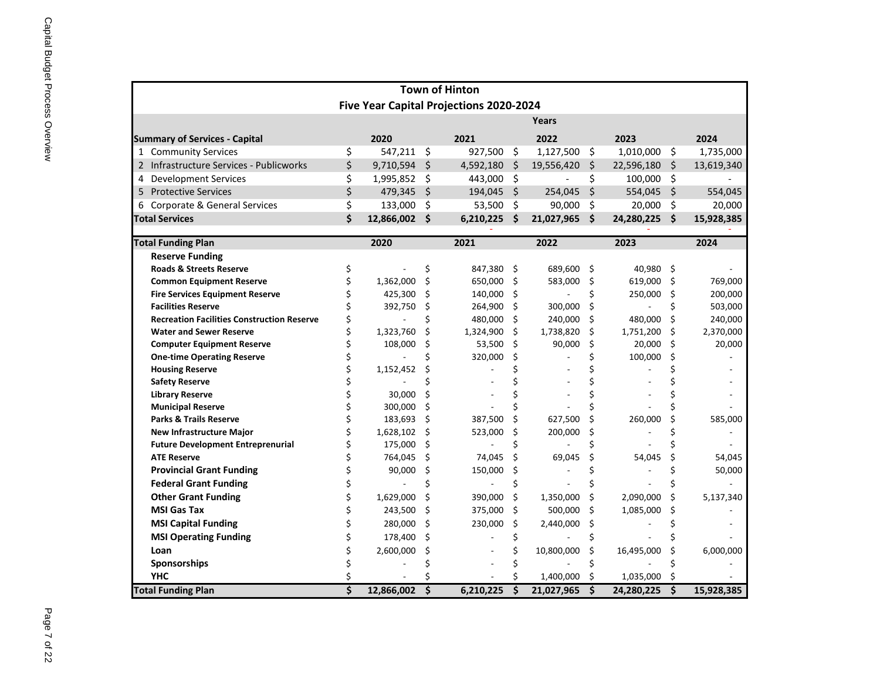|                                                               |    |                   |                     | <b>Town of Hinton</b>                          |   |              |    |                 |     |            |
|---------------------------------------------------------------|----|-------------------|---------------------|------------------------------------------------|---|--------------|----|-----------------|-----|------------|
|                                                               |    |                   |                     | <b>Five Year Capital Projections 2020-2024</b> |   |              |    |                 |     |            |
|                                                               |    |                   |                     |                                                |   | <b>Years</b> |    |                 |     |            |
| <b>Summary of Services - Capital</b>                          |    | 2020              | 2021                |                                                |   | 2022         |    | 2023            |     | 2024       |
| <b>Community Services</b><br>$\mathbf{1}$                     | \$ | 547,211           | \$                  | $927,500$ \$                                   |   | 1,127,500    | \$ | $1,010,000$ \$  |     | 1,735,000  |
| Infrastructure Services - Publicworks                         | \$ | 9,710,594         | $\zeta$             | $4,592,180$ \$                                 |   | 19,556,420   | \$ | $22,596,180$ \$ |     | 13,619,340 |
| <b>Development Services</b>                                   | \$ | 1,995,852         | $\zeta$             | 443,000 \$                                     |   |              | \$ | 100,000 \$      |     |            |
| 5 Protective Services                                         | \$ | 479,345           | $\zeta$             | $194,045$ \$                                   |   | 254,045      | \$ | 554,045 \$      |     | 554,045    |
| 6 Corporate & General Services                                | \$ | 133,000           | \$                  | $53,500$ \$                                    |   | 90,000       | \$ | $20,000$ \$     |     | 20,000     |
| <b>Total Services</b>                                         | \$ | 12,866,002        | $\ddot{\bm{\zeta}}$ | $6,210,225$ \$                                 |   | 21,027,965   | \$ | 24,280,225 \$   |     | 15,928,385 |
|                                                               |    |                   |                     |                                                |   |              |    |                 |     |            |
| <b>Total Funding Plan</b>                                     |    | 2020              |                     | 2021                                           |   | 2022         |    | 2023            |     | 2024       |
| <b>Reserve Funding</b>                                        |    |                   |                     |                                                |   |              |    |                 |     |            |
| <b>Roads &amp; Streets Reserve</b>                            |    |                   | \$                  | 847,380 \$                                     |   | 689,600 \$   |    | 40,980 \$       |     |            |
| <b>Common Equipment Reserve</b>                               |    | 1,362,000         | \$                  | 650,000 \$                                     |   | 583,000      | \$ | 619,000         | \$. | 769,000    |
| <b>Fire Services Equipment Reserve</b>                        |    | 425,300           | Ś                   | 140,000 \$                                     |   |              |    | 250,000         | \$. | 200,000    |
| <b>Facilities Reserve</b>                                     |    | 392,750           | Ş                   | 264,900 \$                                     |   | 300,000      | Ś  |                 |     | 503,000    |
| <b>Recreation Facilities Construction Reserve</b>             |    |                   |                     | 480,000 \$                                     |   | 240,000      | \$ | 480,000         | Ŝ   | 240,000    |
| <b>Water and Sewer Reserve</b>                                |    | 1,323,760         | \$                  | 1,324,900 \$                                   |   | 1,738,820    | \$ | 1,751,200       | \$  | 2,370,000  |
| <b>Computer Equipment Reserve</b>                             |    | 108,000           | S                   | 53,500 \$                                      |   | 90,000       | Ś. | 20,000          | \$  | 20,000     |
| <b>One-time Operating Reserve</b>                             |    |                   |                     | 320,000                                        |   |              |    | 100,000         |     |            |
| <b>Housing Reserve</b>                                        |    | 1,152,452         |                     |                                                |   |              |    |                 |     |            |
| <b>Safety Reserve</b>                                         |    |                   |                     |                                                |   |              |    |                 |     |            |
| <b>Library Reserve</b>                                        |    | 30,000<br>300,000 |                     |                                                |   |              |    |                 |     |            |
| <b>Municipal Reserve</b><br><b>Parks &amp; Trails Reserve</b> |    | 183,693           | S                   | 387,500                                        | Ŝ | 627,500      |    | 260,000         |     | 585,000    |
| <b>New Infrastructure Major</b>                               |    | 1,628,102         | \$                  | 523,000                                        | S | 200,000      |    |                 |     |            |
| <b>Future Development Entreprenurial</b>                      |    | 175,000           | \$<br>S             |                                                |   |              |    |                 |     |            |
| <b>ATE Reserve</b>                                            |    | 764,045           | \$,                 | 74,045                                         |   | 69,045       |    | 54,045          |     | 54,045     |
| <b>Provincial Grant Funding</b>                               |    | 90,000            | \$                  | 150,000                                        |   |              |    |                 |     | 50,000     |
| <b>Federal Grant Funding</b>                                  |    |                   |                     |                                                |   |              |    |                 |     |            |
| <b>Other Grant Funding</b>                                    |    | 1,629,000         |                     | 390,000 \$                                     |   | 1,350,000    |    | 2,090,000       | S   | 5,137,340  |
| <b>MSI Gas Tax</b>                                            |    |                   |                     |                                                |   |              |    |                 |     |            |
|                                                               |    | 243,500           | -\$                 | 375,000 \$                                     |   | 500,000      | \$ | 1,085,000       |     |            |
| <b>MSI Capital Funding</b>                                    |    | 280,000           | S.                  | 230,000                                        |   | 2,440,000    |    |                 |     |            |
| <b>MSI Operating Funding</b>                                  |    | 178,400           |                     |                                                |   |              |    |                 |     |            |
| Loan                                                          |    | 2,600,000         |                     |                                                |   | 10,800,000   |    | 16,495,000      |     | 6,000,000  |
| Sponsorships                                                  |    |                   |                     |                                                |   |              |    |                 |     |            |
| <b>YHC</b>                                                    |    |                   |                     |                                                |   | 1,400,000    |    | 1,035,000       |     |            |
| <b>Total Funding Plan</b>                                     | Ś  | 12,866,002        | \$                  | 6,210,225                                      |   | 21,027,965   | \$ | 24,280,225 \$   |     | 15,928,385 |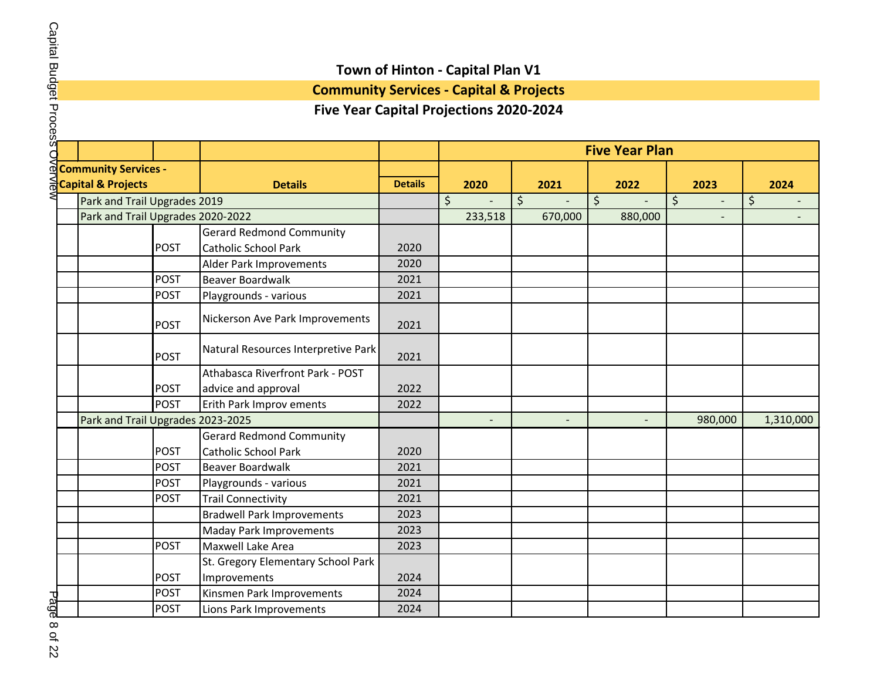**Community Services - Capital & Projects**

### **Five Year Capital Projections 2020-2024**

|                                   |             |                                     |                | <b>Five Year Plan</b> |         |         |         |         |         |         |                |    |           |
|-----------------------------------|-------------|-------------------------------------|----------------|-----------------------|---------|---------|---------|---------|---------|---------|----------------|----|-----------|
| <b>Community Services -</b>       |             |                                     |                |                       |         |         |         |         |         |         |                |    |           |
| <b>Capital &amp; Projects</b>     |             | <b>Details</b>                      | <b>Details</b> |                       | 2020    |         | 2021    |         | 2022    |         | 2023           |    | 2024      |
| Park and Trail Upgrades 2019      |             |                                     |                | $\zeta$               |         | $\zeta$ |         | $\zeta$ |         | $\zeta$ | $\overline{a}$ | \$ |           |
| Park and Trail Upgrades 2020-2022 |             |                                     |                |                       | 233,518 |         | 670,000 |         | 880,000 |         |                |    |           |
|                                   |             | <b>Gerard Redmond Community</b>     |                |                       |         |         |         |         |         |         |                |    |           |
|                                   | <b>POST</b> | <b>Catholic School Park</b>         | 2020           |                       |         |         |         |         |         |         |                |    |           |
|                                   |             | Alder Park Improvements             | 2020           |                       |         |         |         |         |         |         |                |    |           |
|                                   | <b>POST</b> | <b>Beaver Boardwalk</b>             | 2021           |                       |         |         |         |         |         |         |                |    |           |
|                                   | <b>POST</b> | Playgrounds - various               | 2021           |                       |         |         |         |         |         |         |                |    |           |
|                                   | <b>POST</b> | Nickerson Ave Park Improvements     | 2021           |                       |         |         |         |         |         |         |                |    |           |
|                                   | <b>POST</b> | Natural Resources Interpretive Park | 2021           |                       |         |         |         |         |         |         |                |    |           |
|                                   |             | Athabasca Riverfront Park - POST    |                |                       |         |         |         |         |         |         |                |    |           |
|                                   | <b>POST</b> | advice and approval                 | 2022           |                       |         |         |         |         |         |         |                |    |           |
|                                   | <b>POST</b> | Erith Park Improv ements            | 2022           |                       |         |         |         |         |         |         |                |    |           |
| Park and Trail Upgrades 2023-2025 |             |                                     |                |                       |         |         |         |         |         |         | 980,000        |    | 1,310,000 |
|                                   |             | <b>Gerard Redmond Community</b>     |                |                       |         |         |         |         |         |         |                |    |           |
|                                   | <b>POST</b> | <b>Catholic School Park</b>         | 2020           |                       |         |         |         |         |         |         |                |    |           |
|                                   | <b>POST</b> | <b>Beaver Boardwalk</b>             | 2021           |                       |         |         |         |         |         |         |                |    |           |
|                                   | <b>POST</b> | Playgrounds - various               | 2021           |                       |         |         |         |         |         |         |                |    |           |
|                                   | <b>POST</b> | <b>Trail Connectivity</b>           | 2021           |                       |         |         |         |         |         |         |                |    |           |
|                                   |             | <b>Bradwell Park Improvements</b>   | 2023           |                       |         |         |         |         |         |         |                |    |           |
|                                   |             | <b>Maday Park Improvements</b>      | 2023           |                       |         |         |         |         |         |         |                |    |           |
|                                   | <b>POST</b> | Maxwell Lake Area                   | 2023           |                       |         |         |         |         |         |         |                |    |           |
|                                   |             | St. Gregory Elementary School Park  |                |                       |         |         |         |         |         |         |                |    |           |
|                                   | <b>POST</b> | Improvements                        | 2024           |                       |         |         |         |         |         |         |                |    |           |
|                                   | <b>POST</b> | Kinsmen Park Improvements           | 2024           |                       |         |         |         |         |         |         |                |    |           |
|                                   | <b>POST</b> | Lions Park Improvements             | 2024           |                       |         |         |         |         |         |         |                |    |           |

Page 8 of 22 Page 8 of 22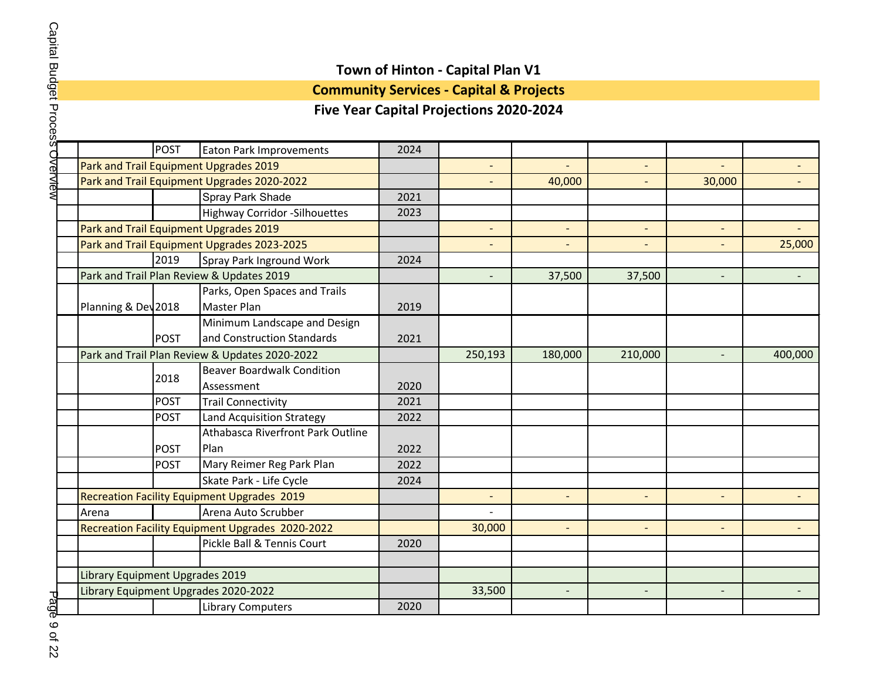## **Community Services - Capital & Projects**

|                                 | <b>POST</b> | <b>Eaton Park Improvements</b>                     | 2024 |                |                |                |                          |         |
|---------------------------------|-------------|----------------------------------------------------|------|----------------|----------------|----------------|--------------------------|---------|
|                                 |             | Park and Trail Equipment Upgrades 2019             |      |                |                |                |                          |         |
|                                 |             | Park and Trail Equipment Upgrades 2020-2022        |      |                | 40,000         |                | 30,000                   |         |
|                                 |             | Spray Park Shade                                   | 2021 |                |                |                |                          |         |
|                                 |             | <b>Highway Corridor - Silhouettes</b>              | 2023 |                |                |                |                          |         |
|                                 |             | Park and Trail Equipment Upgrades 2019             |      | $\overline{a}$ |                |                |                          |         |
|                                 |             | Park and Trail Equipment Upgrades 2023-2025        |      |                |                |                |                          | 25,000  |
|                                 | 2019        | Spray Park Inground Work                           | 2024 |                |                |                |                          |         |
|                                 |             | Park and Trail Plan Review & Updates 2019          |      |                | 37,500         | 37,500         |                          |         |
|                                 |             | Parks, Open Spaces and Trails                      |      |                |                |                |                          |         |
| Planning & Dev 2018             |             | <b>Master Plan</b>                                 | 2019 |                |                |                |                          |         |
|                                 |             | Minimum Landscape and Design                       |      |                |                |                |                          |         |
|                                 | <b>POST</b> | and Construction Standards                         | 2021 |                |                |                |                          |         |
|                                 |             | Park and Trail Plan Review & Updates 2020-2022     |      | 250,193        | 180,000        | 210,000        | $\overline{\phantom{m}}$ | 400,000 |
|                                 | 2018        | <b>Beaver Boardwalk Condition</b>                  |      |                |                |                |                          |         |
|                                 |             | Assessment                                         | 2020 |                |                |                |                          |         |
|                                 | <b>POST</b> | <b>Trail Connectivity</b>                          | 2021 |                |                |                |                          |         |
|                                 | <b>POST</b> | <b>Land Acquisition Strategy</b>                   | 2022 |                |                |                |                          |         |
|                                 |             | Athabasca Riverfront Park Outline                  |      |                |                |                |                          |         |
|                                 | <b>POST</b> | Plan                                               | 2022 |                |                |                |                          |         |
|                                 | <b>POST</b> | Mary Reimer Reg Park Plan                          | 2022 |                |                |                |                          |         |
|                                 |             | Skate Park - Life Cycle                            | 2024 |                |                |                |                          |         |
|                                 |             | <b>Recreation Facility Equipment Upgrades 2019</b> |      |                |                |                |                          |         |
| Arena                           |             | Arena Auto Scrubber                                |      |                |                |                |                          |         |
|                                 |             | Recreation Facility Equipment Upgrades 2020-2022   |      | 30,000         | $\overline{a}$ |                |                          |         |
|                                 |             | Pickle Ball & Tennis Court                         | 2020 |                |                |                |                          |         |
|                                 |             |                                                    |      |                |                |                |                          |         |
| Library Equipment Upgrades 2019 |             |                                                    |      |                |                |                |                          |         |
|                                 |             | Library Equipment Upgrades 2020-2022               |      | 33,500         | $\overline{a}$ | $\overline{a}$ | $\overline{\phantom{a}}$ |         |
|                                 |             | Library Computers                                  | 2020 |                |                |                |                          |         |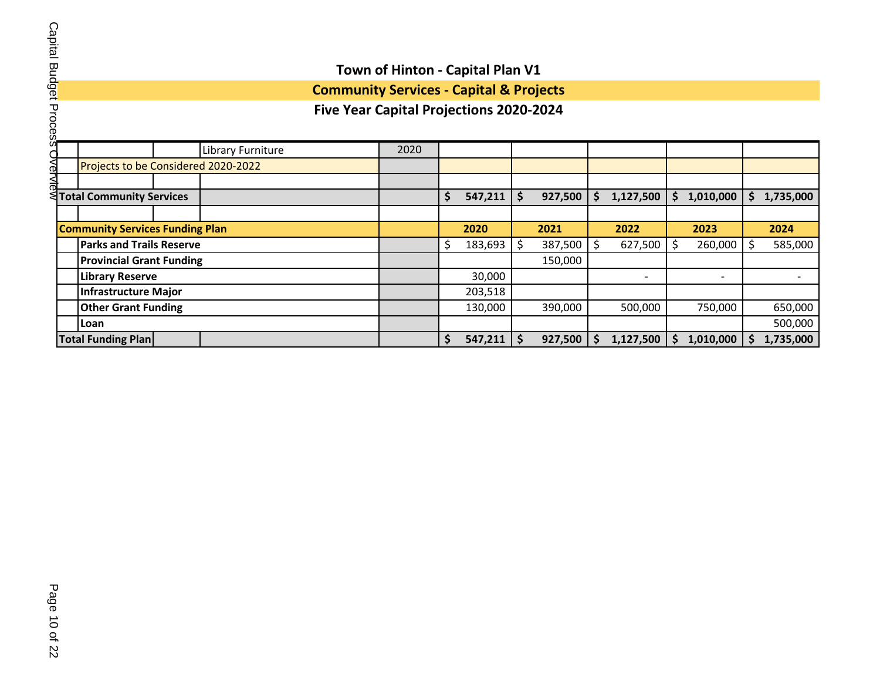#### **Five Year Capital Projections 2020-2024** Library Furniture 2020  Projects to be Considered 2020-2022 ι<br>ΔIΘ **Total Community Services \$ 547,211 \$ 927,500 \$ 1,127,500 \$ 1,010,000 \$ 1,735,000 Community Services Funding Plan 2020 2021 2022 2023 2024 Parks and Trails Reserve**  $\frac{1}{5}$  183,693  $\frac{1}{5}$  387,500  $\frac{1}{5}$  627,500  $\frac{1}{5}$  260,000  $\frac{1}{5}$  585,000 **Provincial Grant Funding** 150,000 **Library Reserve** 30,000 - - - **Infrastructure Major** 203,518 **Other Grant Funding** 130,000 390,000 500,000 750,000 650,000 **Loan** 500,000 **Total Funding Plan \$ 547,211 \$ 927,500 \$ 1,127,500 \$ 1,010,000 \$ 1,735,000**

**Town of Hinton - Capital Plan V1 Community Services - Capital & Projects**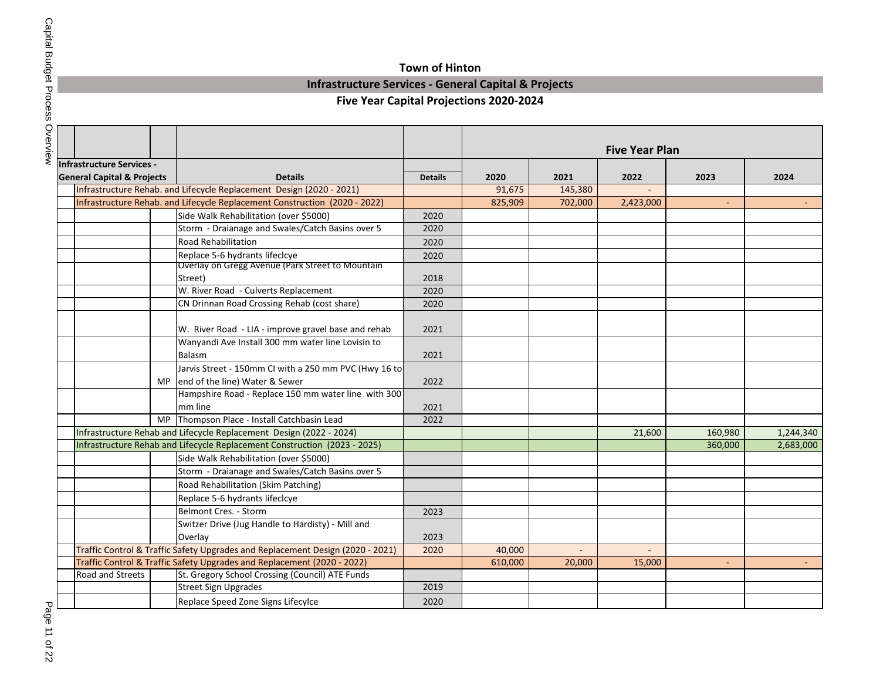## **Town of Hinton**

### **Infrastructure Services - General Capital & Projects**

|                                       |                                                                                |                |         |         | <b>Five Year Plan</b> |         |           |
|---------------------------------------|--------------------------------------------------------------------------------|----------------|---------|---------|-----------------------|---------|-----------|
| <b>Infrastructure Services -</b>      |                                                                                |                |         |         |                       |         |           |
| <b>General Capital &amp; Projects</b> | <b>Details</b>                                                                 | <b>Details</b> | 2020    | 2021    | 2022                  | 2023    | 2024      |
|                                       | Infrastructure Rehab. and Lifecycle Replacement Design (2020 - 2021)           |                | 91,675  | 145,380 |                       |         |           |
|                                       | Infrastructure Rehab. and Lifecycle Replacement Construction (2020 - 2022)     |                | 825,909 | 702,000 | 2,423,000             |         |           |
|                                       | Side Walk Rehabilitation (over \$5000)                                         | 2020           |         |         |                       |         |           |
|                                       | Storm - Draianage and Swales/Catch Basins over 5                               | 2020           |         |         |                       |         |           |
|                                       | <b>Road Rehabilitation</b>                                                     | 2020           |         |         |                       |         |           |
|                                       | Replace 5-6 hydrants lifeclcye                                                 | 2020           |         |         |                       |         |           |
|                                       | Overlay on Gregg Avenue (Park Street to Mountain                               |                |         |         |                       |         |           |
|                                       | Street)                                                                        | 2018           |         |         |                       |         |           |
|                                       | W. River Road - Culverts Replacement                                           | 2020           |         |         |                       |         |           |
|                                       | CN Drinnan Road Crossing Rehab (cost share)                                    | 2020           |         |         |                       |         |           |
|                                       |                                                                                |                |         |         |                       |         |           |
|                                       | W. River Road - LIA - improve gravel base and rehab                            | 2021           |         |         |                       |         |           |
|                                       | Wanyandi Ave Install 300 mm water line Lovisin to                              |                |         |         |                       |         |           |
|                                       | Balasm                                                                         | 2021           |         |         |                       |         |           |
|                                       | Jarvis Street - 150mm CI with a 250 mm PVC (Hwy 16 to                          |                |         |         |                       |         |           |
|                                       | MP end of the line) Water & Sewer                                              | 2022           |         |         |                       |         |           |
|                                       | Hampshire Road - Replace 150 mm water line with 300                            |                |         |         |                       |         |           |
|                                       | mm line                                                                        | 2021           |         |         |                       |         |           |
|                                       | MP Thompson Place - Install Catchbasin Lead                                    | 2022           |         |         |                       |         |           |
|                                       | Infrastructure Rehab and Lifecycle Replacement Design (2022 - 2024)            |                |         |         | 21,600                | 160,980 | 1,244,340 |
|                                       | Infrastructure Rehab and Lifecycle Replacement Construction (2023 - 2025)      |                |         |         |                       | 360,000 | 2,683,000 |
|                                       | Side Walk Rehabilitation (over \$5000)                                         |                |         |         |                       |         |           |
|                                       | Storm - Draianage and Swales/Catch Basins over 5                               |                |         |         |                       |         |           |
|                                       | Road Rehabilitation (Skim Patching)                                            |                |         |         |                       |         |           |
|                                       | Replace 5-6 hydrants lifeclcye                                                 |                |         |         |                       |         |           |
|                                       | Belmont Cres. - Storm                                                          | 2023           |         |         |                       |         |           |
|                                       | Switzer Drive (Jug Handle to Hardisty) - Mill and                              |                |         |         |                       |         |           |
|                                       | Overlay                                                                        | 2023           |         |         |                       |         |           |
|                                       | Traffic Control & Traffic Safety Upgrades and Replacement Design (2020 - 2021) | 2020           | 40,000  |         |                       |         |           |
|                                       | Traffic Control & Traffic Safety Upgrades and Replacement (2020 - 2022)        |                | 610,000 | 20,000  | 15,000                | $\sim$  |           |
| Road and Streets                      | St. Gregory School Crossing (Council) ATE Funds                                |                |         |         |                       |         |           |
|                                       | <b>Street Sign Upgrades</b>                                                    | 2019           |         |         |                       |         |           |
|                                       | Replace Speed Zone Signs Lifecylce                                             | 2020           |         |         |                       |         |           |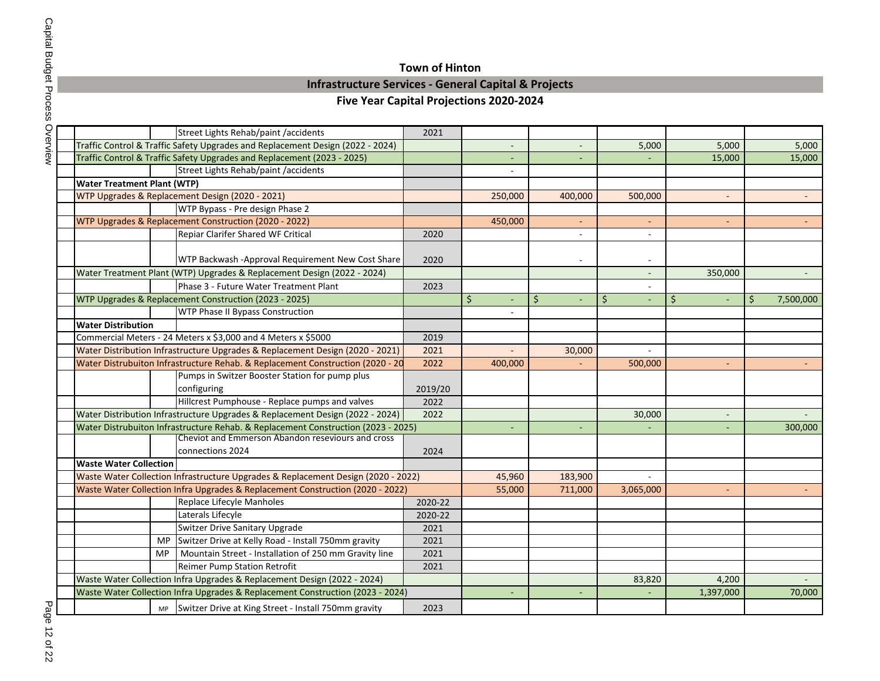## **Town of Hinton**

## **Infrastructure Services - General Capital & Projects**

## **Five Year Capital Projections 2020-2024**

|                                    |           | Street Lights Rehab/paint /accidents                                              | 2021    |                          |                          |                          |           |         |           |
|------------------------------------|-----------|-----------------------------------------------------------------------------------|---------|--------------------------|--------------------------|--------------------------|-----------|---------|-----------|
|                                    |           | Traffic Control & Traffic Safety Upgrades and Replacement Design (2022 - 2024)    |         | $\overline{\phantom{a}}$ |                          | 5,000                    | 5,000     |         | 5,000     |
|                                    |           | Traffic Control & Traffic Safety Upgrades and Replacement (2023 - 2025)           |         | -                        |                          |                          | 15,000    |         | 15,000    |
|                                    |           | Street Lights Rehab/paint /accidents                                              |         |                          |                          |                          |           |         |           |
| <b>Water Treatment Plant (WTP)</b> |           |                                                                                   |         |                          |                          |                          |           |         |           |
|                                    |           | WTP Upgrades & Replacement Design (2020 - 2021)                                   |         | 250,000                  | 400,000                  | 500,000                  |           |         |           |
|                                    |           | WTP Bypass - Pre design Phase 2                                                   |         |                          |                          |                          |           |         |           |
|                                    |           | WTP Upgrades & Replacement Construction (2020 - 2022)                             |         | 450,000                  | ٠                        |                          |           |         |           |
|                                    |           | Repiar Clarifer Shared WF Critical                                                | 2020    |                          |                          |                          |           |         |           |
|                                    |           |                                                                                   |         |                          |                          |                          |           |         |           |
|                                    |           | WTP Backwash -Approval Requirement New Cost Share                                 | 2020    |                          |                          | $\overline{\phantom{a}}$ |           |         |           |
|                                    |           | Water Treatment Plant (WTP) Upgrades & Replacement Design (2022 - 2024)           |         |                          |                          |                          | 350,000   |         |           |
|                                    |           | Phase 3 - Future Water Treatment Plant                                            | 2023    |                          |                          |                          |           |         |           |
|                                    |           | WTP Upgrades & Replacement Construction (2023 - 2025)                             |         | \$<br>$\blacksquare$     | \$<br>$\overline{a}$     | $\zeta$                  | \$        | $\zeta$ | 7,500,000 |
|                                    |           | <b>WTP Phase II Bypass Construction</b>                                           |         |                          |                          |                          |           |         |           |
| <b>Water Distribution</b>          |           |                                                                                   |         |                          |                          |                          |           |         |           |
|                                    |           | Commercial Meters - 24 Meters x \$3,000 and 4 Meters x \$5000                     | 2019    |                          |                          |                          |           |         |           |
|                                    |           | Water Distribution Infrastructure Upgrades & Replacement Design (2020 - 2021)     | 2021    |                          | 30,000                   |                          |           |         |           |
|                                    |           | Water Distrubuiton Infrastructure Rehab. & Replacement Construction (2020 - 20    | 2022    | 400,000                  |                          | 500,000                  |           |         |           |
|                                    |           | Pumps in Switzer Booster Station for pump plus                                    |         |                          |                          |                          |           |         |           |
|                                    |           | configuring                                                                       | 2019/20 |                          |                          |                          |           |         |           |
|                                    |           | Hillcrest Pumphouse - Replace pumps and valves                                    | 2022    |                          |                          |                          |           |         |           |
|                                    |           | Water Distribution Infrastructure Upgrades & Replacement Design (2022 - 2024)     | 2022    |                          |                          | 30,000                   |           |         |           |
|                                    |           | Water Distrubuiton Infrastructure Rehab. & Replacement Construction (2023 - 2025) |         | $\overline{\phantom{a}}$ | $\overline{\phantom{0}}$ |                          |           |         | 300,000   |
|                                    |           | Cheviot and Emmerson Abandon reseviours and cross                                 |         |                          |                          |                          |           |         |           |
|                                    |           | connections 2024                                                                  | 2024    |                          |                          |                          |           |         |           |
| <b>Waste Water Collection</b>      |           |                                                                                   |         |                          |                          |                          |           |         |           |
|                                    |           | Waste Water Collection Infrastructure Upgrades & Replacement Design (2020 - 2022) |         | 45,960                   | 183,900                  |                          |           |         |           |
|                                    |           | Waste Water Collection Infra Upgrades & Replacement Construction (2020 - 2022)    |         | 55,000                   | 711,000                  | 3,065,000                |           |         |           |
|                                    |           | Replace Lifecyle Manholes                                                         | 2020-22 |                          |                          |                          |           |         |           |
|                                    |           | Laterals Lifecyle                                                                 | 2020-22 |                          |                          |                          |           |         |           |
|                                    |           | <b>Switzer Drive Sanitary Upgrade</b>                                             | 2021    |                          |                          |                          |           |         |           |
|                                    | <b>MP</b> | Switzer Drive at Kelly Road - Install 750mm gravity                               | 2021    |                          |                          |                          |           |         |           |
|                                    | <b>MP</b> | Mountain Street - Installation of 250 mm Gravity line                             | 2021    |                          |                          |                          |           |         |           |
|                                    |           | <b>Reimer Pump Station Retrofit</b>                                               | 2021    |                          |                          |                          |           |         |           |
|                                    |           | Waste Water Collection Infra Upgrades & Replacement Design (2022 - 2024)          |         |                          |                          | 83,820                   | 4,200     |         |           |
|                                    |           | Waste Water Collection Infra Upgrades & Replacement Construction (2023 - 2024)    |         | $\overline{\phantom{a}}$ |                          |                          | 1,397,000 |         | 70,000    |
|                                    |           | MP Switzer Drive at King Street - Install 750mm gravity                           | 2023    |                          |                          |                          |           |         |           |

Page 12 of 22 Page 12 of 22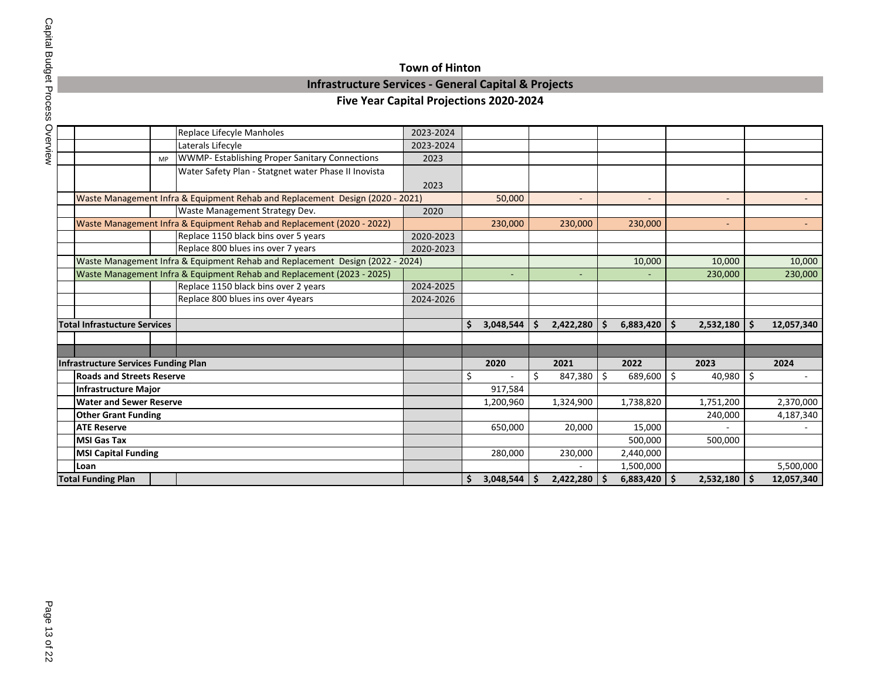## **Town of Hinton Infrastructure Services - General Capital & Projects**

| )<br>;<br>;            |
|------------------------|
| andys.                 |
|                        |
|                        |
| <b>TOCGSS OVERVIEN</b> |

|                                                                               |           | Replace Lifecyle Manholes                                                     | 2023-2024 |                          |     |                          |     |                          |              |                          |          |                         |
|-------------------------------------------------------------------------------|-----------|-------------------------------------------------------------------------------|-----------|--------------------------|-----|--------------------------|-----|--------------------------|--------------|--------------------------|----------|-------------------------|
|                                                                               |           | Laterals Lifecyle                                                             | 2023-2024 |                          |     |                          |     |                          |              |                          |          |                         |
|                                                                               | <b>MP</b> | <b>WWMP-Establishing Proper Sanitary Connections</b>                          | 2023      |                          |     |                          |     |                          |              |                          |          |                         |
|                                                                               |           | Water Safety Plan - Statgnet water Phase II Inovista                          |           |                          |     |                          |     |                          |              |                          |          |                         |
|                                                                               |           |                                                                               | 2023      |                          |     |                          |     |                          |              |                          |          |                         |
| Waste Management Infra & Equipment Rehab and Replacement Design (2020 - 2021) |           | 50,000                                                                        |           | $\overline{\phantom{a}}$ |     | $\overline{\phantom{a}}$ |     | $\overline{\phantom{a}}$ |              | $\overline{\phantom{0}}$ |          |                         |
|                                                                               |           | Waste Management Strategy Dev.                                                | 2020      |                          |     |                          |     |                          |              |                          |          |                         |
|                                                                               |           | Waste Management Infra & Equipment Rehab and Replacement (2020 - 2022)        |           | 230,000                  |     | 230,000                  |     | 230,000                  |              |                          |          |                         |
|                                                                               |           | Replace 1150 black bins over 5 years                                          | 2020-2023 |                          |     |                          |     |                          |              |                          |          |                         |
|                                                                               |           | Replace 800 blues ins over 7 years                                            | 2020-2023 |                          |     |                          |     |                          |              |                          |          |                         |
|                                                                               |           | Waste Management Infra & Equipment Rehab and Replacement Design (2022 - 2024) |           |                          |     |                          |     | 10,000                   |              | 10,000                   |          | 10,000                  |
|                                                                               |           | Waste Management Infra & Equipment Rehab and Replacement (2023 - 2025)        |           |                          |     |                          |     |                          |              | 230,000                  |          | 230,000                 |
|                                                                               |           | Replace 1150 black bins over 2 years                                          | 2024-2025 |                          |     |                          |     |                          |              |                          |          |                         |
|                                                                               |           | Replace 800 blues ins over 4years                                             | 2024-2026 |                          |     |                          |     |                          |              |                          |          |                         |
|                                                                               |           |                                                                               |           |                          |     |                          |     |                          |              |                          |          |                         |
| <b>Total Infrastucture Services</b>                                           |           |                                                                               |           | \$<br>3,048,544          | \$. | 2,422,280                | \$. | 6,883,420                | $\mathsf{S}$ | 2,532,180                | <b>S</b> | 12,057,340              |
|                                                                               |           |                                                                               |           |                          |     |                          |     |                          |              |                          |          |                         |
|                                                                               |           |                                                                               |           |                          |     |                          |     |                          |              |                          |          |                         |
|                                                                               |           |                                                                               |           |                          |     |                          |     |                          |              |                          |          |                         |
| <b>Infrastructure Services Funding Plan</b>                                   |           |                                                                               |           | 2020                     |     | 2021                     |     | 2022                     |              | 2023                     |          | 2024                    |
| <b>Roads and Streets Reserve</b>                                              |           |                                                                               |           | \$                       | \$  | 847,380                  | \$  | 689,600                  | \$           | 40,980                   | \$       |                         |
| <b>Infrastructure Major</b>                                                   |           |                                                                               |           | 917,584                  |     |                          |     |                          |              |                          |          |                         |
| <b>Water and Sewer Reserve</b>                                                |           |                                                                               |           | 1,200,960                |     | 1,324,900                |     | 1,738,820                |              | 1,751,200                |          | 2,370,000               |
| <b>Other Grant Funding</b>                                                    |           |                                                                               |           |                          |     |                          |     |                          |              | 240,000                  |          | 4,187,340               |
| <b>ATE Reserve</b>                                                            |           |                                                                               |           | 650,000                  |     | 20,000                   |     | 15,000                   |              |                          |          |                         |
| <b>MSI Gas Tax</b>                                                            |           |                                                                               |           |                          |     |                          |     | 500,000                  |              | 500,000                  |          |                         |
| <b>MSI Capital Funding</b>                                                    |           |                                                                               |           | 280,000                  |     | 230,000                  |     | 2,440,000                |              |                          |          |                         |
| Loan                                                                          |           |                                                                               |           | 3,048,544                |     |                          |     | 1,500,000                |              |                          |          | 5,500,000<br>12,057,340 |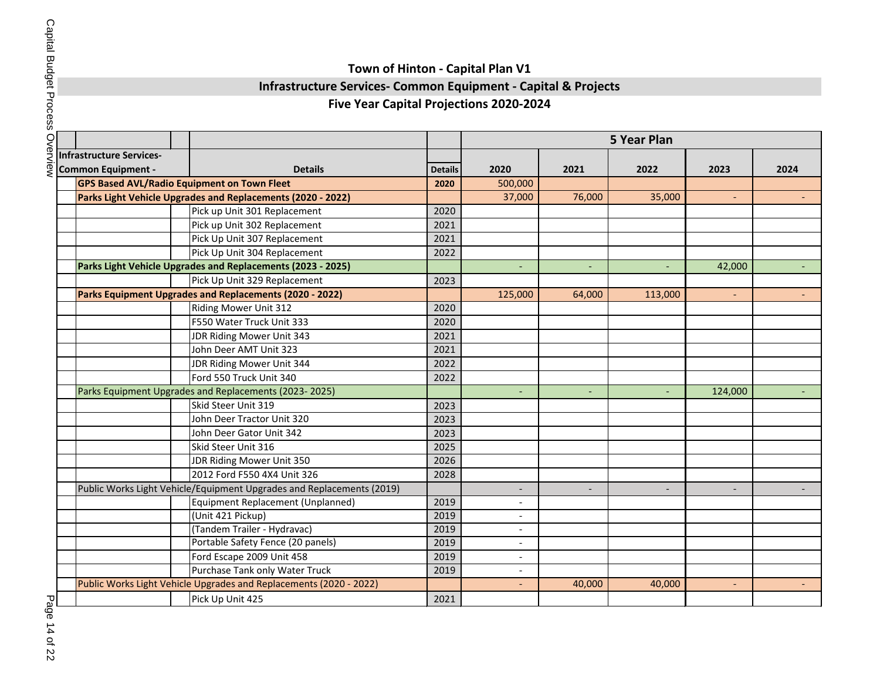## **Infrastructure Services- Common Equipment - Capital & Projects**

### **Five Year Capital Projections 2020-2024**

| ī      |
|--------|
| J<br>Ş |
|        |

|                           |                                                                       |                | <b>5 Year Plan</b>       |                          |                          |                          |                |  |  |  |  |
|---------------------------|-----------------------------------------------------------------------|----------------|--------------------------|--------------------------|--------------------------|--------------------------|----------------|--|--|--|--|
| Infrastructure Services-  |                                                                       |                |                          |                          |                          |                          |                |  |  |  |  |
| <b>Common Equipment -</b> | <b>Details</b>                                                        | <b>Details</b> | 2020                     | 2021                     | 2022                     | 2023                     | 2024           |  |  |  |  |
|                           | <b>GPS Based AVL/Radio Equipment on Town Fleet</b>                    | 2020           | 500,000                  |                          |                          |                          |                |  |  |  |  |
|                           | Parks Light Vehicle Upgrades and Replacements (2020 - 2022)           |                | 37,000                   | 76,000                   | 35,000                   |                          |                |  |  |  |  |
|                           | Pick up Unit 301 Replacement                                          | 2020           |                          |                          |                          |                          |                |  |  |  |  |
|                           | Pick up Unit 302 Replacement                                          | 2021           |                          |                          |                          |                          |                |  |  |  |  |
|                           | Pick Up Unit 307 Replacement                                          | 2021           |                          |                          |                          |                          |                |  |  |  |  |
|                           | Pick Up Unit 304 Replacement                                          | 2022           |                          |                          |                          |                          |                |  |  |  |  |
|                           | Parks Light Vehicle Upgrades and Replacements (2023 - 2025)           |                | L,                       | $\blacksquare$           | $\blacksquare$           | 42,000                   | $\sim$         |  |  |  |  |
|                           | Pick Up Unit 329 Replacement                                          | 2023           |                          |                          |                          |                          |                |  |  |  |  |
|                           | Parks Equipment Upgrades and Replacements (2020 - 2022)               |                | 125,000                  | 64,000                   | 113,000                  |                          |                |  |  |  |  |
|                           | <b>Riding Mower Unit 312</b>                                          | 2020           |                          |                          |                          |                          |                |  |  |  |  |
|                           | F550 Water Truck Unit 333                                             | 2020           |                          |                          |                          |                          |                |  |  |  |  |
|                           | JDR Riding Mower Unit 343                                             | 2021           |                          |                          |                          |                          |                |  |  |  |  |
|                           | John Deer AMT Unit 323                                                | 2021           |                          |                          |                          |                          |                |  |  |  |  |
|                           | JDR Riding Mower Unit 344                                             | 2022           |                          |                          |                          |                          |                |  |  |  |  |
|                           | Ford 550 Truck Unit 340                                               | 2022           |                          |                          |                          |                          |                |  |  |  |  |
|                           | Parks Equipment Upgrades and Replacements (2023-2025)                 |                |                          |                          |                          | 124,000                  |                |  |  |  |  |
|                           | Skid Steer Unit 319                                                   | 2023           |                          |                          |                          |                          |                |  |  |  |  |
|                           | John Deer Tractor Unit 320                                            | 2023           |                          |                          |                          |                          |                |  |  |  |  |
|                           | John Deer Gator Unit 342                                              | 2023           |                          |                          |                          |                          |                |  |  |  |  |
|                           | Skid Steer Unit 316                                                   | 2025           |                          |                          |                          |                          |                |  |  |  |  |
|                           | JDR Riding Mower Unit 350                                             | 2026           |                          |                          |                          |                          |                |  |  |  |  |
|                           | 2012 Ford F550 4X4 Unit 326                                           | 2028           |                          |                          |                          |                          |                |  |  |  |  |
|                           | Public Works Light Vehicle/Equipment Upgrades and Replacements (2019) |                | $\overline{\phantom{a}}$ | $\overline{\phantom{a}}$ | $\overline{\phantom{a}}$ | $\overline{\phantom{a}}$ | $\blacksquare$ |  |  |  |  |
|                           | Equipment Replacement (Unplanned)                                     | 2019           | $\overline{a}$           |                          |                          |                          |                |  |  |  |  |
|                           | (Unit 421 Pickup)                                                     | 2019           |                          |                          |                          |                          |                |  |  |  |  |
|                           | (Tandem Trailer - Hydravac)                                           | 2019           | $\overline{\phantom{a}}$ |                          |                          |                          |                |  |  |  |  |
|                           | Portable Safety Fence (20 panels)                                     | 2019           | $\overline{\phantom{a}}$ |                          |                          |                          |                |  |  |  |  |
|                           | Ford Escape 2009 Unit 458                                             | 2019           | $\overline{a}$           |                          |                          |                          |                |  |  |  |  |
|                           | Purchase Tank only Water Truck                                        | 2019           |                          |                          |                          |                          |                |  |  |  |  |
|                           | Public Works Light Vehicle Upgrades and Replacements (2020 - 2022)    |                |                          | 40,000                   | 40,000                   |                          |                |  |  |  |  |
|                           | Pick Up Unit 425                                                      | 2021           |                          |                          |                          |                          |                |  |  |  |  |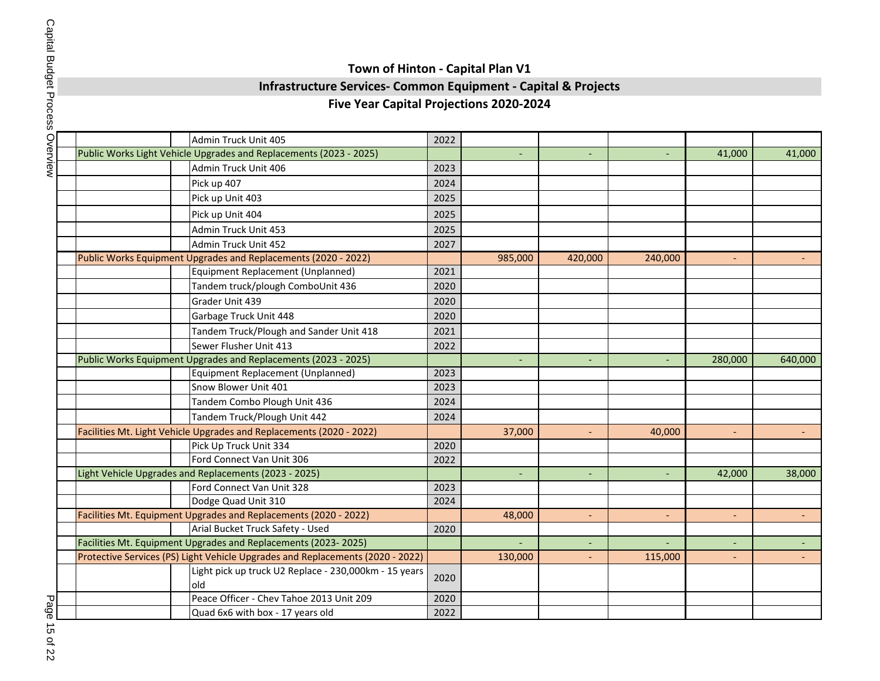## **Infrastructure Services- Common Equipment - Capital & Projects**

### **Five Year Capital Projections 2020-2024**

|  | Admin Truck Unit 405                                                           | 2022 |         |                          |         |                          |         |
|--|--------------------------------------------------------------------------------|------|---------|--------------------------|---------|--------------------------|---------|
|  | Public Works Light Vehicle Upgrades and Replacements (2023 - 2025)             |      |         | $\overline{\phantom{a}}$ |         | 41,000                   | 41,000  |
|  | Admin Truck Unit 406                                                           | 2023 |         |                          |         |                          |         |
|  | Pick up 407                                                                    | 2024 |         |                          |         |                          |         |
|  | Pick up Unit 403                                                               | 2025 |         |                          |         |                          |         |
|  | Pick up Unit 404                                                               | 2025 |         |                          |         |                          |         |
|  | Admin Truck Unit 453                                                           | 2025 |         |                          |         |                          |         |
|  | Admin Truck Unit 452                                                           | 2027 |         |                          |         |                          |         |
|  | Public Works Equipment Upgrades and Replacements (2020 - 2022)                 |      | 985,000 | 420,000                  | 240,000 | $\overline{\phantom{a}}$ |         |
|  | Equipment Replacement (Unplanned)                                              | 2021 |         |                          |         |                          |         |
|  | Tandem truck/plough ComboUnit 436                                              | 2020 |         |                          |         |                          |         |
|  | Grader Unit 439                                                                | 2020 |         |                          |         |                          |         |
|  | Garbage Truck Unit 448                                                         | 2020 |         |                          |         |                          |         |
|  | Tandem Truck/Plough and Sander Unit 418                                        | 2021 |         |                          |         |                          |         |
|  | Sewer Flusher Unit 413                                                         | 2022 |         |                          |         |                          |         |
|  | Public Works Equipment Upgrades and Replacements (2023 - 2025)                 |      |         | $\blacksquare$           |         | 280,000                  | 640,000 |
|  | Equipment Replacement (Unplanned)                                              | 2023 |         |                          |         |                          |         |
|  | Snow Blower Unit 401                                                           | 2023 |         |                          |         |                          |         |
|  | Tandem Combo Plough Unit 436                                                   | 2024 |         |                          |         |                          |         |
|  | Tandem Truck/Plough Unit 442                                                   | 2024 |         |                          |         |                          |         |
|  | Facilities Mt. Light Vehicle Upgrades and Replacements (2020 - 2022)           |      | 37,000  |                          | 40,000  | $\overline{\phantom{a}}$ |         |
|  | Pick Up Truck Unit 334                                                         | 2020 |         |                          |         |                          |         |
|  | Ford Connect Van Unit 306                                                      | 2022 |         |                          |         |                          |         |
|  | Light Vehicle Upgrades and Replacements (2023 - 2025)                          |      |         | $\sim$                   |         | 42,000                   | 38,000  |
|  | Ford Connect Van Unit 328                                                      | 2023 |         |                          |         |                          |         |
|  | Dodge Quad Unit 310                                                            | 2024 |         |                          |         |                          |         |
|  | Facilities Mt. Equipment Upgrades and Replacements (2020 - 2022)               |      | 48,000  | $\blacksquare$           |         | $\blacksquare$           |         |
|  | Arial Bucket Truck Safety - Used                                               | 2020 |         |                          |         |                          |         |
|  | Facilities Mt. Equipment Upgrades and Replacements (2023-2025)                 |      |         | $\overline{\phantom{a}}$ |         | $\overline{\phantom{a}}$ |         |
|  | Protective Services (PS) Light Vehicle Upgrades and Replacements (2020 - 2022) |      | 130,000 | $\blacksquare$           | 115,000 | $\blacksquare$           |         |
|  | Light pick up truck U2 Replace - 230,000km - 15 years<br>old                   | 2020 |         |                          |         |                          |         |
|  | Peace Officer - Chev Tahoe 2013 Unit 209                                       | 2020 |         |                          |         |                          |         |
|  | Quad 6x6 with box - 17 years old                                               | 2022 |         |                          |         |                          |         |

Page 15 of 22 Page 15 of 22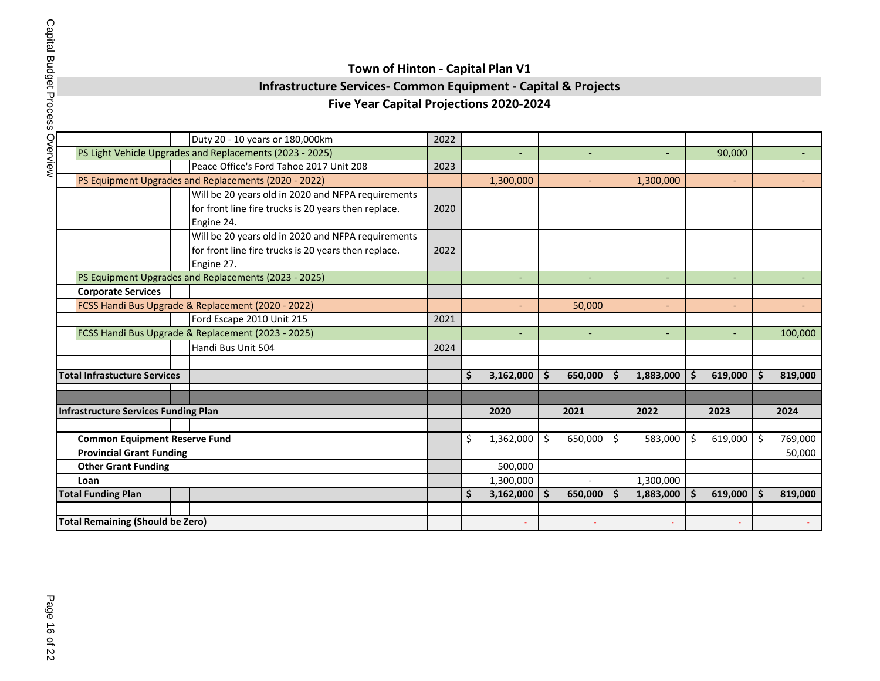## **Infrastructure Services- Common Equipment - Capital & Projects**

| י<br>המהי             |  |
|-----------------------|--|
| こくくく                  |  |
| .<br>،<br>.<br>-<br>- |  |

|                                                    |                            | Duty 20 - 10 years or 180,000km                                        | 2022                                                                                                                                                                                                                                                                                                                                                                                                                                                                                                                                                                                                                                |           |                                           |                          |           |                          |                              |                          |                            |         |
|----------------------------------------------------|----------------------------|------------------------------------------------------------------------|-------------------------------------------------------------------------------------------------------------------------------------------------------------------------------------------------------------------------------------------------------------------------------------------------------------------------------------------------------------------------------------------------------------------------------------------------------------------------------------------------------------------------------------------------------------------------------------------------------------------------------------|-----------|-------------------------------------------|--------------------------|-----------|--------------------------|------------------------------|--------------------------|----------------------------|---------|
|                                                    |                            |                                                                        |                                                                                                                                                                                                                                                                                                                                                                                                                                                                                                                                                                                                                                     |           |                                           | $\overline{\phantom{a}}$ |           |                          |                              | 90,000                   |                            |         |
|                                                    |                            |                                                                        | 2023                                                                                                                                                                                                                                                                                                                                                                                                                                                                                                                                                                                                                                |           |                                           |                          |           |                          |                              |                          |                            |         |
|                                                    |                            |                                                                        |                                                                                                                                                                                                                                                                                                                                                                                                                                                                                                                                                                                                                                     | 1,300,000 |                                           | $\sim$                   |           | 1,300,000                |                              | ÷.                       |                            |         |
|                                                    |                            |                                                                        |                                                                                                                                                                                                                                                                                                                                                                                                                                                                                                                                                                                                                                     |           |                                           |                          |           |                          |                              |                          |                            |         |
|                                                    |                            |                                                                        | 2020                                                                                                                                                                                                                                                                                                                                                                                                                                                                                                                                                                                                                                |           |                                           |                          |           |                          |                              |                          |                            |         |
|                                                    |                            |                                                                        |                                                                                                                                                                                                                                                                                                                                                                                                                                                                                                                                                                                                                                     |           |                                           |                          |           |                          |                              |                          |                            |         |
|                                                    |                            | Will be 20 years old in 2020 and NFPA requirements                     |                                                                                                                                                                                                                                                                                                                                                                                                                                                                                                                                                                                                                                     |           |                                           |                          |           |                          |                              |                          |                            |         |
|                                                    |                            |                                                                        | 2022                                                                                                                                                                                                                                                                                                                                                                                                                                                                                                                                                                                                                                |           |                                           |                          |           |                          |                              |                          |                            |         |
|                                                    |                            |                                                                        |                                                                                                                                                                                                                                                                                                                                                                                                                                                                                                                                                                                                                                     |           |                                           |                          |           |                          |                              |                          |                            |         |
|                                                    |                            |                                                                        |                                                                                                                                                                                                                                                                                                                                                                                                                                                                                                                                                                                                                                     |           |                                           |                          |           | $\overline{\phantom{a}}$ |                              | $\overline{\phantom{a}}$ |                            |         |
| <b>Corporate Services</b>                          |                            |                                                                        |                                                                                                                                                                                                                                                                                                                                                                                                                                                                                                                                                                                                                                     |           |                                           |                          |           |                          |                              |                          |                            |         |
|                                                    |                            |                                                                        |                                                                                                                                                                                                                                                                                                                                                                                                                                                                                                                                                                                                                                     |           |                                           | 50,000                   |           | $\overline{\phantom{a}}$ |                              | $\overline{\phantom{0}}$ |                            |         |
|                                                    |                            |                                                                        | 2021                                                                                                                                                                                                                                                                                                                                                                                                                                                                                                                                                                                                                                |           |                                           |                          |           |                          |                              |                          |                            |         |
| FCSS Handi Bus Upgrade & Replacement (2023 - 2025) |                            |                                                                        |                                                                                                                                                                                                                                                                                                                                                                                                                                                                                                                                                                                                                                     |           |                                           | $\overline{\phantom{a}}$ |           | $\overline{\phantom{a}}$ |                              | ٠                        |                            | 100,000 |
|                                                    |                            | Handi Bus Unit 504                                                     | 2024                                                                                                                                                                                                                                                                                                                                                                                                                                                                                                                                                                                                                                |           |                                           |                          |           |                          |                              |                          |                            |         |
|                                                    |                            |                                                                        |                                                                                                                                                                                                                                                                                                                                                                                                                                                                                                                                                                                                                                     |           |                                           |                          |           |                          |                              |                          |                            |         |
|                                                    |                            |                                                                        |                                                                                                                                                                                                                                                                                                                                                                                                                                                                                                                                                                                                                                     | \$        | $\mathsf{\hat{S}}$                        |                          | \$        | 1,883,000                | \$                           |                          | Ŝ.                         | 819,000 |
|                                                    |                            |                                                                        |                                                                                                                                                                                                                                                                                                                                                                                                                                                                                                                                                                                                                                     |           |                                           |                          |           |                          |                              |                          |                            |         |
|                                                    |                            |                                                                        |                                                                                                                                                                                                                                                                                                                                                                                                                                                                                                                                                                                                                                     |           |                                           |                          |           |                          |                              |                          |                            | 2024    |
|                                                    |                            |                                                                        |                                                                                                                                                                                                                                                                                                                                                                                                                                                                                                                                                                                                                                     |           |                                           |                          |           |                          |                              |                          |                            |         |
|                                                    |                            |                                                                        |                                                                                                                                                                                                                                                                                                                                                                                                                                                                                                                                                                                                                                     |           |                                           |                          |           |                          |                              |                          |                            | 769,000 |
|                                                    |                            |                                                                        |                                                                                                                                                                                                                                                                                                                                                                                                                                                                                                                                                                                                                                     |           |                                           |                          |           |                          |                              |                          | 50,000                     |         |
|                                                    |                            |                                                                        |                                                                                                                                                                                                                                                                                                                                                                                                                                                                                                                                                                                                                                     |           |                                           |                          |           |                          |                              |                          |                            |         |
| Loan                                               |                            |                                                                        |                                                                                                                                                                                                                                                                                                                                                                                                                                                                                                                                                                                                                                     |           |                                           |                          |           |                          |                              |                          |                            |         |
| <b>Total Funding Plan</b>                          |                            |                                                                        | \$<br>3,162,000                                                                                                                                                                                                                                                                                                                                                                                                                                                                                                                                                                                                                     | 'S        | 650,000                                   | \$                       | 1,883,000 | Ŝ.                       | 619,000                      | $\boldsymbol{\zeta}$     | 819,000                    |         |
|                                                    |                            |                                                                        |                                                                                                                                                                                                                                                                                                                                                                                                                                                                                                                                                                                                                                     |           |                                           |                          |           |                          |                              |                          |                            |         |
|                                                    |                            |                                                                        |                                                                                                                                                                                                                                                                                                                                                                                                                                                                                                                                                                                                                                     |           |                                           |                          |           |                          |                              |                          |                            |         |
|                                                    | <b>Other Grant Funding</b> | <b>Total Infrastucture Services</b><br><b>Provincial Grant Funding</b> | PS Light Vehicle Upgrades and Replacements (2023 - 2025)<br>Peace Office's Ford Tahoe 2017 Unit 208<br>PS Equipment Upgrades and Replacements (2020 - 2022)<br>Will be 20 years old in 2020 and NFPA requirements<br>for front line fire trucks is 20 years then replace.<br>Engine 24.<br>for front line fire trucks is 20 years then replace.<br>Engine 27.<br>PS Equipment Upgrades and Replacements (2023 - 2025)<br>FCSS Handi Bus Upgrade & Replacement (2020 - 2022)<br>Ford Escape 2010 Unit 215<br>Infrastructure Services Funding Plan<br><b>Common Equipment Reserve Fund</b><br><b>Total Remaining (Should be Zero)</b> | \$        | 2020<br>1,362,000<br>500,000<br>1,300,000 | 3,162,000<br>\$          | 2021      | 650,000<br>\$<br>650,000 | 2022<br>583,000<br>1,300,000 | Ŝ.                       | 619,000<br>2023<br>619,000 | \$      |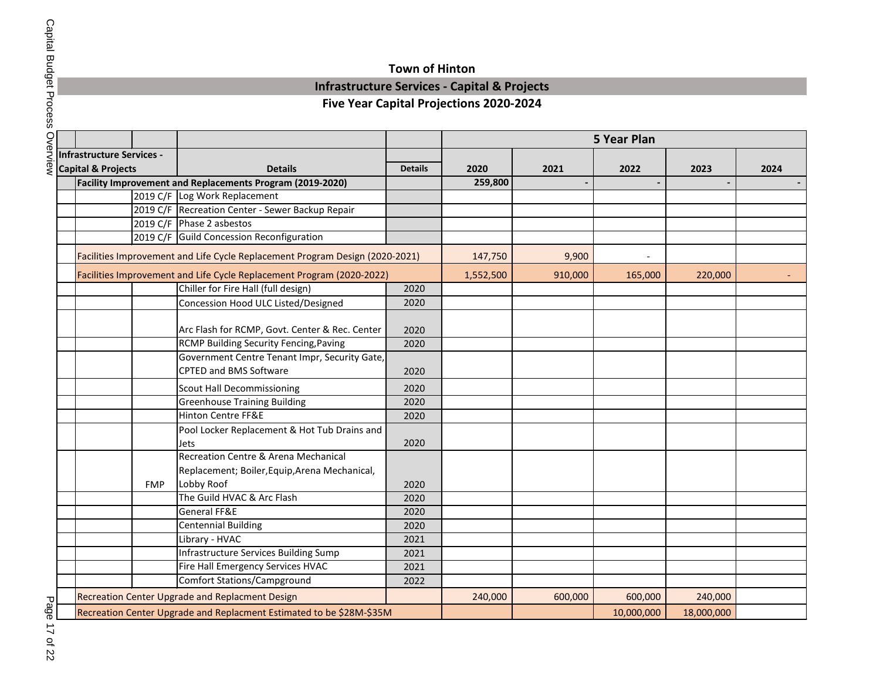### **Town of Hinton**

### **Infrastructure Services - Capital & Projects**

|                                  |            |                                                                              |                |           |         | <b>5 Year Plan</b> |            |      |
|----------------------------------|------------|------------------------------------------------------------------------------|----------------|-----------|---------|--------------------|------------|------|
| <b>Infrastructure Services -</b> |            |                                                                              |                |           |         |                    |            |      |
| <b>Capital &amp; Projects</b>    |            | <b>Details</b>                                                               | <b>Details</b> | 2020      | 2021    | 2022               | 2023       | 2024 |
|                                  |            | Facility Improvement and Replacements Program (2019-2020)                    |                | 259,800   |         |                    |            |      |
|                                  |            | 2019 C/F Log Work Replacement                                                |                |           |         |                    |            |      |
|                                  |            | 2019 C/F Recreation Center - Sewer Backup Repair                             |                |           |         |                    |            |      |
|                                  |            | 2019 C/F Phase 2 asbestos                                                    |                |           |         |                    |            |      |
|                                  |            | 2019 C/F Guild Concession Reconfiguration                                    |                |           |         |                    |            |      |
|                                  |            | Facilities Improvement and Life Cycle Replacement Program Design (2020-2021) |                | 147,750   | 9,900   |                    |            |      |
|                                  |            | Facilities Improvement and Life Cycle Replacement Program (2020-2022)        |                | 1,552,500 | 910,000 | 165,000            | 220,000    |      |
|                                  |            | Chiller for Fire Hall (full design)                                          | 2020           |           |         |                    |            |      |
|                                  |            | Concession Hood ULC Listed/Designed                                          | 2020           |           |         |                    |            |      |
|                                  |            | Arc Flash for RCMP, Govt. Center & Rec. Center                               | 2020           |           |         |                    |            |      |
|                                  |            | RCMP Building Security Fencing, Paving                                       | 2020           |           |         |                    |            |      |
|                                  |            | Government Centre Tenant Impr, Security Gate,                                |                |           |         |                    |            |      |
|                                  |            | <b>CPTED and BMS Software</b>                                                | 2020           |           |         |                    |            |      |
|                                  |            | <b>Scout Hall Decommissioning</b>                                            | 2020           |           |         |                    |            |      |
|                                  |            | <b>Greenhouse Training Building</b>                                          | 2020           |           |         |                    |            |      |
|                                  |            | Hinton Centre FF&E                                                           | 2020           |           |         |                    |            |      |
|                                  |            | Pool Locker Replacement & Hot Tub Drains and                                 |                |           |         |                    |            |      |
|                                  |            | Jets                                                                         | 2020           |           |         |                    |            |      |
|                                  |            | Recreation Centre & Arena Mechanical                                         |                |           |         |                    |            |      |
|                                  |            | Replacement; Boiler, Equip, Arena Mechanical,                                |                |           |         |                    |            |      |
|                                  | <b>FMP</b> | Lobby Roof                                                                   | 2020           |           |         |                    |            |      |
|                                  |            | The Guild HVAC & Arc Flash                                                   | 2020           |           |         |                    |            |      |
|                                  |            | <b>General FF&amp;E</b>                                                      | 2020           |           |         |                    |            |      |
|                                  |            | <b>Centennial Building</b>                                                   | 2020           |           |         |                    |            |      |
|                                  |            | Library - HVAC                                                               | 2021           |           |         |                    |            |      |
|                                  |            | Infrastructure Services Building Sump                                        | 2021           |           |         |                    |            |      |
|                                  |            | Fire Hall Emergency Services HVAC                                            | 2021           |           |         |                    |            |      |
|                                  |            | <b>Comfort Stations/Campground</b>                                           | 2022           |           |         |                    |            |      |
|                                  |            | Recreation Center Upgrade and Replacment Design                              |                | 240,000   | 600,000 | 600,000            | 240,000    |      |
|                                  |            | Recreation Center Upgrade and Replacment Estimated to be \$28M-\$35M         |                |           |         | 10,000,000         | 18,000,000 |      |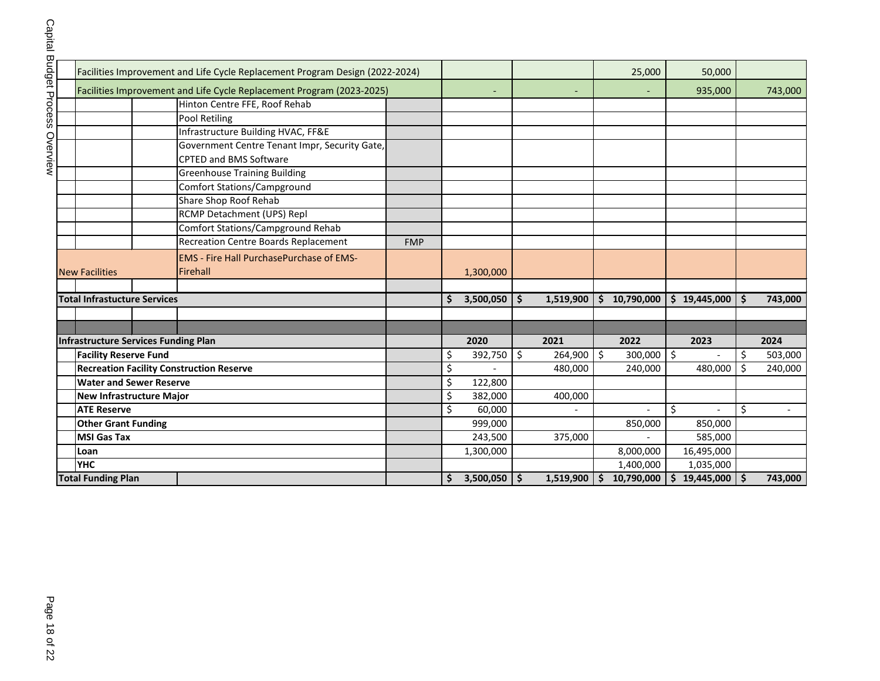|                                                 | Facilities Improvement and Life Cycle Replacement Program Design (2022-2024) |                      |                 |                 |            | 25,000                      | 50,000                         |                     |                          |
|-------------------------------------------------|------------------------------------------------------------------------------|----------------------|-----------------|-----------------|------------|-----------------------------|--------------------------------|---------------------|--------------------------|
|                                                 | Facilities Improvement and Life Cycle Replacement Program (2023-2025)        |                      |                 |                 |            |                             | 935,000                        |                     | 743,000                  |
|                                                 | Hinton Centre FFE, Roof Rehab                                                |                      |                 |                 |            |                             |                                |                     |                          |
|                                                 | Pool Retiling                                                                |                      |                 |                 |            |                             |                                |                     |                          |
|                                                 | Infrastructure Building HVAC, FF&E                                           |                      |                 |                 |            |                             |                                |                     |                          |
|                                                 | Government Centre Tenant Impr, Security Gate,                                |                      |                 |                 |            |                             |                                |                     |                          |
|                                                 | <b>CPTED and BMS Software</b>                                                |                      |                 |                 |            |                             |                                |                     |                          |
|                                                 | <b>Greenhouse Training Building</b>                                          |                      |                 |                 |            |                             |                                |                     |                          |
|                                                 | <b>Comfort Stations/Campground</b>                                           |                      |                 |                 |            |                             |                                |                     |                          |
|                                                 | Share Shop Roof Rehab                                                        |                      |                 |                 |            |                             |                                |                     |                          |
|                                                 | RCMP Detachment (UPS) Repl                                                   |                      |                 |                 |            |                             |                                |                     |                          |
|                                                 | <b>Comfort Stations/Campground Rehab</b>                                     |                      |                 |                 |            |                             |                                |                     |                          |
|                                                 | <b>Recreation Centre Boards Replacement</b>                                  | <b>FMP</b>           |                 |                 |            |                             |                                |                     |                          |
| <b>EMS - Fire Hall PurchasePurchase of EMS-</b> |                                                                              |                      |                 |                 |            |                             |                                |                     |                          |
| <b>New Facilities</b>                           | Firehall                                                                     |                      | 1,300,000       |                 |            |                             |                                |                     |                          |
|                                                 |                                                                              |                      |                 |                 |            |                             |                                |                     |                          |
| <b>Total Infrastucture Services</b>             |                                                                              |                      | \$<br>3,500,050 | \$<br>1,519,900 | \$         | 10,790,000                  | \$19,445,000                   | $\ddot{\bm{\zeta}}$ | 743,000                  |
|                                                 |                                                                              |                      |                 |                 |            |                             |                                |                     |                          |
|                                                 |                                                                              |                      |                 |                 |            |                             |                                |                     |                          |
| <b>Infrastructure Services Funding Plan</b>     |                                                                              |                      | 2020            | 2021            |            | 2022                        | 2023                           |                     | 2024                     |
| <b>Facility Reserve Fund</b>                    |                                                                              |                      | \$<br>392,750   | \$<br>264,900   | \$         | 300,000                     | $\overline{\phantom{a}}$       | \$                  | 503,000                  |
| <b>Recreation Facility Construction Reserve</b> |                                                                              |                      | \$              | 480,000         |            | 240,000                     | 480,000                        | $\zeta$             | 240,000                  |
| <b>Water and Sewer Reserve</b>                  |                                                                              |                      | \$<br>122,800   |                 |            |                             |                                |                     |                          |
| <b>New Infrastructure Major</b>                 |                                                                              |                      | \$<br>382,000   | 400,000         |            |                             |                                |                     |                          |
| <b>ATE Reserve</b>                              |                                                                              |                      | \$<br>60,000    |                 |            | $\overline{a}$              | \$<br>$\overline{\phantom{a}}$ | \$                  | $\overline{\phantom{a}}$ |
| <b>Other Grant Funding</b>                      |                                                                              |                      | 999,000         |                 |            | 850,000                     | 850,000                        |                     |                          |
| <b>MSI Gas Tax</b>                              |                                                                              |                      | 243,500         | 375,000         |            |                             | 585,000                        |                     |                          |
| Loan                                            |                                                                              | 1,300,000            |                 |                 | 8,000,000  | 16,495,000                  |                                |                     |                          |
| <b>YHC</b>                                      |                                                                              |                      |                 |                 | 1,400,000  | 1,035,000                   |                                |                     |                          |
| <b>Total Funding Plan</b>                       |                                                                              | \$<br>$3,500,050$ \$ | 1,519,900       | $\mathsf{S}$    | 10,790,000 | $\frac{1}{2}$<br>19,445,000 | $\ddot{\bm{\zeta}}$            | 743,000             |                          |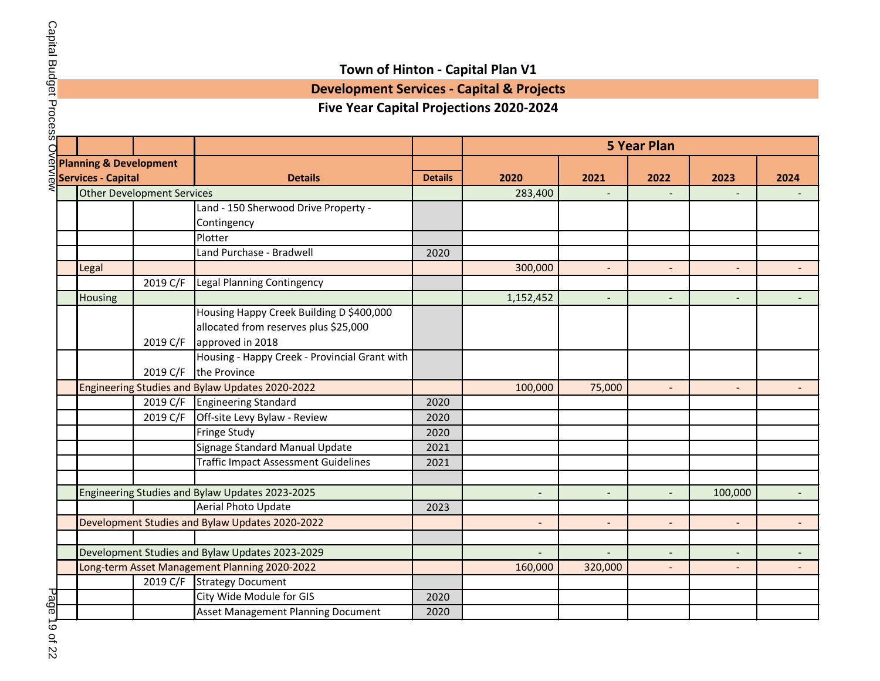## **Development Services - Capital & Projects**

|                                                 |                                   |                                                 |                          | <b>5 Year Plan</b>       |                          |                          |                          |      |  |  |  |  |  |  |
|-------------------------------------------------|-----------------------------------|-------------------------------------------------|--------------------------|--------------------------|--------------------------|--------------------------|--------------------------|------|--|--|--|--|--|--|
| <b>Planning &amp; Development</b>               |                                   |                                                 |                          |                          |                          |                          |                          |      |  |  |  |  |  |  |
| Services - Capital                              |                                   | <b>Details</b>                                  | <b>Details</b>           | 2020                     | 2021                     | 2022                     | 2023                     | 2024 |  |  |  |  |  |  |
|                                                 | <b>Other Development Services</b> |                                                 |                          | 283,400                  |                          |                          |                          |      |  |  |  |  |  |  |
|                                                 |                                   | Land - 150 Sherwood Drive Property -            |                          |                          |                          |                          |                          |      |  |  |  |  |  |  |
|                                                 |                                   | Contingency                                     |                          |                          |                          |                          |                          |      |  |  |  |  |  |  |
|                                                 |                                   | Plotter                                         |                          |                          |                          |                          |                          |      |  |  |  |  |  |  |
|                                                 |                                   | Land Purchase - Bradwell                        | 2020                     |                          |                          |                          |                          |      |  |  |  |  |  |  |
| Legal                                           |                                   |                                                 |                          | 300,000                  | $\overline{\phantom{a}}$ | $\overline{\phantom{a}}$ | $\overline{\phantom{a}}$ |      |  |  |  |  |  |  |
|                                                 | 2019 C/F                          | Legal Planning Contingency                      |                          |                          |                          |                          |                          |      |  |  |  |  |  |  |
| <b>Housing</b>                                  |                                   |                                                 |                          | 1,152,452                |                          | $\overline{\phantom{a}}$ |                          |      |  |  |  |  |  |  |
|                                                 |                                   | Housing Happy Creek Building D \$400,000        |                          |                          |                          |                          |                          |      |  |  |  |  |  |  |
|                                                 |                                   | allocated from reserves plus \$25,000           |                          |                          |                          |                          |                          |      |  |  |  |  |  |  |
|                                                 | 2019 C/F                          | approved in 2018                                |                          |                          |                          |                          |                          |      |  |  |  |  |  |  |
|                                                 |                                   | Housing - Happy Creek - Provincial Grant with   |                          |                          |                          |                          |                          |      |  |  |  |  |  |  |
|                                                 | 2019 C/F                          | the Province                                    |                          |                          |                          |                          |                          |      |  |  |  |  |  |  |
|                                                 |                                   | Engineering Studies and Bylaw Updates 2020-2022 |                          | 100,000                  | 75,000                   | $\overline{\phantom{a}}$ |                          |      |  |  |  |  |  |  |
|                                                 |                                   | 2019 C/F Engineering Standard                   | 2020                     |                          |                          |                          |                          |      |  |  |  |  |  |  |
|                                                 |                                   | 2019 C/F Off-site Levy Bylaw - Review           | 2020                     |                          |                          |                          |                          |      |  |  |  |  |  |  |
|                                                 |                                   | <b>Fringe Study</b>                             | 2020                     |                          |                          |                          |                          |      |  |  |  |  |  |  |
|                                                 |                                   | Signage Standard Manual Update                  | 2021                     |                          |                          |                          |                          |      |  |  |  |  |  |  |
|                                                 |                                   | <b>Traffic Impact Assessment Guidelines</b>     | 2021                     |                          |                          |                          |                          |      |  |  |  |  |  |  |
|                                                 |                                   |                                                 |                          |                          |                          |                          |                          |      |  |  |  |  |  |  |
|                                                 |                                   | Engineering Studies and Bylaw Updates 2023-2025 |                          |                          |                          |                          | 100,000                  |      |  |  |  |  |  |  |
|                                                 |                                   | Aerial Photo Update                             | 2023                     |                          |                          |                          |                          |      |  |  |  |  |  |  |
|                                                 |                                   | Development Studies and Bylaw Updates 2020-2022 |                          |                          |                          | $\overline{\phantom{a}}$ |                          |      |  |  |  |  |  |  |
|                                                 |                                   |                                                 |                          |                          |                          |                          |                          |      |  |  |  |  |  |  |
| Development Studies and Bylaw Updates 2023-2029 |                                   |                                                 | $\overline{\phantom{a}}$ | $\overline{\phantom{a}}$ | $\overline{\phantom{0}}$ | $\overline{\phantom{a}}$ |                          |      |  |  |  |  |  |  |
|                                                 |                                   | Long-term Asset Management Planning 2020-2022   |                          | 160,000                  | 320,000                  |                          |                          |      |  |  |  |  |  |  |
|                                                 |                                   | 2019 C/F Strategy Document                      |                          |                          |                          |                          |                          |      |  |  |  |  |  |  |
|                                                 |                                   | City Wide Module for GIS                        | 2020                     |                          |                          |                          |                          |      |  |  |  |  |  |  |
|                                                 |                                   | <b>Asset Management Planning Document</b>       | 2020                     |                          |                          |                          |                          |      |  |  |  |  |  |  |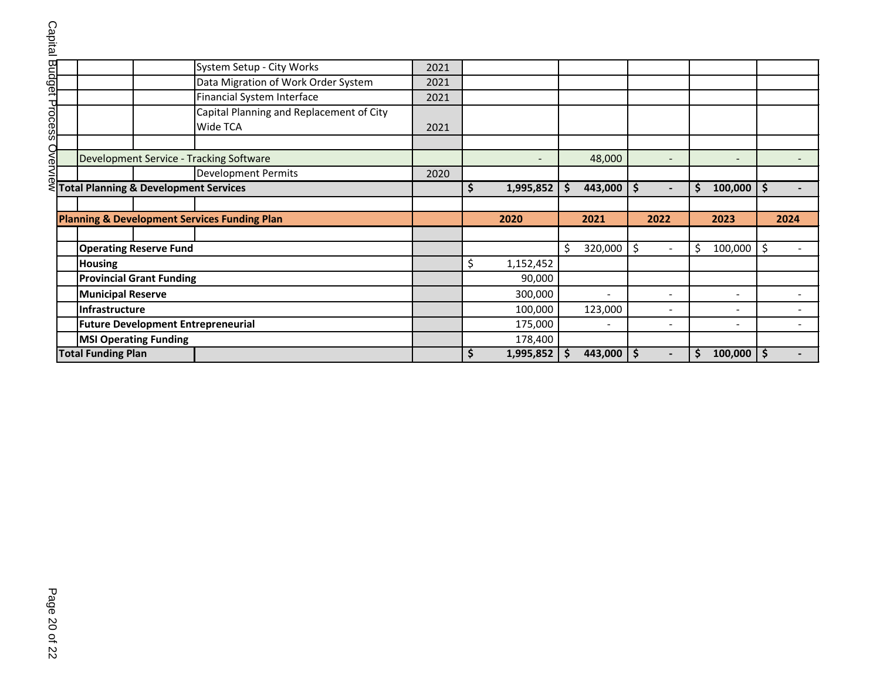| Capital        |                                                  |                                           |  |                                                         |         |                          |                                |                          |                                |                          |                    |      |
|----------------|--------------------------------------------------|-------------------------------------------|--|---------------------------------------------------------|---------|--------------------------|--------------------------------|--------------------------|--------------------------------|--------------------------|--------------------|------|
|                |                                                  |                                           |  |                                                         |         |                          |                                |                          |                                |                          |                    |      |
|                |                                                  |                                           |  | System Setup - City Works                               | 2021    |                          |                                |                          |                                |                          |                    |      |
|                |                                                  |                                           |  | Data Migration of Work Order System                     | 2021    |                          |                                |                          |                                |                          |                    |      |
|                |                                                  |                                           |  | Financial System Interface                              | 2021    |                          |                                |                          |                                |                          |                    |      |
|                |                                                  |                                           |  | Capital Planning and Replacement of City                |         |                          |                                |                          |                                |                          |                    |      |
| Budget Process |                                                  |                                           |  | Wide TCA                                                | 2021    |                          |                                |                          |                                |                          |                    |      |
|                |                                                  |                                           |  |                                                         |         |                          |                                |                          |                                |                          |                    |      |
| Ovei           |                                                  |                                           |  | Development Service - Tracking Software                 |         | $\overline{\phantom{0}}$ |                                | 48,000                   | $\overline{\phantom{a}}$       | $\overline{\phantom{0}}$ |                    |      |
| <b>NIe</b>     |                                                  |                                           |  | <b>Development Permits</b>                              | 2020    |                          |                                |                          |                                |                          |                    |      |
| ⋞              | <b>Total Planning &amp; Development Services</b> |                                           |  | \$<br>1,995,852                                         | Ŝ.      | 443,000                  | \$<br>$\overline{\phantom{a}}$ | \$<br>100,000            | \$                             |                          |                    |      |
|                |                                                  |                                           |  |                                                         |         |                          |                                |                          |                                |                          |                    |      |
|                |                                                  |                                           |  | <b>Planning &amp; Development Services Funding Plan</b> |         | 2020                     |                                | 2021                     | 2022                           | 2023                     |                    | 2024 |
|                |                                                  |                                           |  |                                                         |         |                          |                                |                          |                                |                          |                    |      |
|                |                                                  | <b>Operating Reserve Fund</b>             |  |                                                         |         |                          | Ŝ.                             | 320,000                  | \$<br>$\overline{\phantom{a}}$ | \$<br>100,000            | $\ddot{\varsigma}$ |      |
|                |                                                  | <b>Housing</b>                            |  |                                                         |         | \$<br>1,152,452          |                                |                          |                                |                          |                    |      |
|                |                                                  | <b>Provincial Grant Funding</b>           |  |                                                         |         | 90,000                   |                                |                          |                                |                          |                    |      |
|                |                                                  | <b>Municipal Reserve</b>                  |  |                                                         | 300,000 |                          |                                | $\overline{\phantom{a}}$ | $\overline{\phantom{a}}$       |                          |                    |      |
|                |                                                  | Infrastructure                            |  |                                                         | 100,000 |                          | 123,000                        |                          |                                |                          |                    |      |
|                |                                                  | <b>Future Development Entrepreneurial</b> |  |                                                         | 175,000 |                          |                                |                          |                                |                          |                    |      |
|                |                                                  | <b>MSI Operating Funding</b>              |  |                                                         | 178,400 |                          |                                |                          |                                |                          |                    |      |
|                |                                                  | <b>Total Funding Plan</b>                 |  |                                                         |         | \$<br>$1,995,852$ \$     |                                | 443,000                  | \$<br>$\overline{\phantom{a}}$ | \$<br>$100,000$   \$     |                    |      |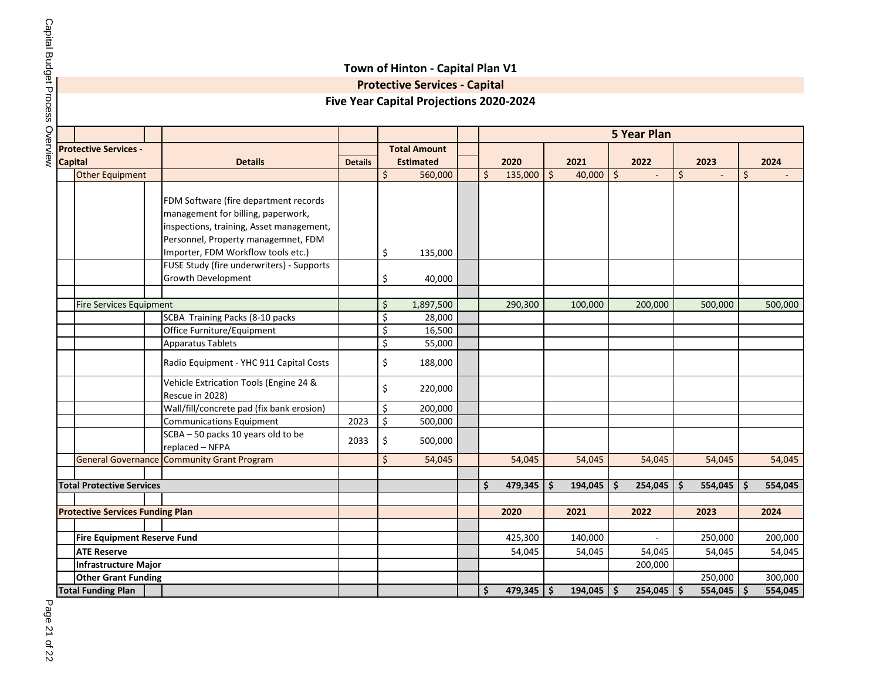|                                         |                                                           |                |         | <b>Five Year Capital Projections 2020-2024</b> |         |              |    |              |         |                          |                |               |
|-----------------------------------------|-----------------------------------------------------------|----------------|---------|------------------------------------------------|---------|--------------|----|--------------|---------|--------------------------|----------------|---------------|
|                                         |                                                           |                |         |                                                |         |              |    |              |         | <b>5 Year Plan</b>       |                |               |
| <b>Protective Services -</b>            |                                                           |                |         | <b>Total Amount</b>                            |         |              |    |              |         |                          |                |               |
| <b>Capital</b>                          | <b>Details</b>                                            | <b>Details</b> |         | <b>Estimated</b>                               |         | 2020         |    | 2021         |         | 2022                     | 2023           | 2024          |
| <b>Other Equipment</b>                  |                                                           |                | $\zeta$ | 560,000                                        | $\zeta$ | 135,000      | \$ | 40,000       | $\zeta$ |                          | \$             | \$            |
|                                         |                                                           |                |         |                                                |         |              |    |              |         |                          |                |               |
|                                         | FDM Software (fire department records                     |                |         |                                                |         |              |    |              |         |                          |                |               |
|                                         | management for billing, paperwork,                        |                |         |                                                |         |              |    |              |         |                          |                |               |
|                                         | inspections, training, Asset management,                  |                |         |                                                |         |              |    |              |         |                          |                |               |
|                                         | Personnel, Property managemnet, FDM                       |                |         |                                                |         |              |    |              |         |                          |                |               |
|                                         | Importer, FDM Workflow tools etc.)                        |                | \$      | 135,000                                        |         |              |    |              |         |                          |                |               |
|                                         | FUSE Study (fire underwriters) - Supports                 |                |         |                                                |         |              |    |              |         |                          |                |               |
|                                         | Growth Development                                        |                | \$      | 40,000                                         |         |              |    |              |         |                          |                |               |
|                                         |                                                           |                |         |                                                |         |              |    |              |         |                          |                |               |
| <b>Fire Services Equipment</b>          |                                                           |                | \$      | 1,897,500                                      |         | 290,300      |    | 100,000      |         | 200,000                  | 500,000        | 500,000       |
|                                         | SCBA Training Packs (8-10 packs                           |                | \$      | 28,000                                         |         |              |    |              |         |                          |                |               |
|                                         | Office Furniture/Equipment                                |                | \$      | 16,500                                         |         |              |    |              |         |                          |                |               |
|                                         | <b>Apparatus Tablets</b>                                  |                | \$      | 55,000                                         |         |              |    |              |         |                          |                |               |
|                                         | Radio Equipment - YHC 911 Capital Costs                   |                | \$      | 188,000                                        |         |              |    |              |         |                          |                |               |
|                                         | Vehicle Extrication Tools (Engine 24 &<br>Rescue in 2028) |                | \$      | 220,000                                        |         |              |    |              |         |                          |                |               |
|                                         | Wall/fill/concrete pad (fix bank erosion)                 |                | \$      | 200,000                                        |         |              |    |              |         |                          |                |               |
|                                         | <b>Communications Equipment</b>                           | 2023           | \$      | 500,000                                        |         |              |    |              |         |                          |                |               |
|                                         | SCBA - 50 packs 10 years old to be                        |                |         |                                                |         |              |    |              |         |                          |                |               |
|                                         | replaced - NFPA                                           | 2033           | \$      | 500,000                                        |         |              |    |              |         |                          |                |               |
|                                         | <b>General Governance Community Grant Program</b>         |                | \$      | 54,045                                         |         | 54,045       |    | 54,045       |         | 54,045                   | 54,045         | 54,045        |
|                                         |                                                           |                |         |                                                |         |              |    |              |         |                          |                |               |
| <b>Total Protective Services</b>        |                                                           |                |         |                                                | \$      | 479,345      | Ŝ  | 194,045      | \$      | 254,045                  | \$<br>554,045  | \$<br>554,045 |
|                                         |                                                           |                |         |                                                |         |              |    |              |         |                          |                |               |
| <b>Protective Services Funding Plan</b> |                                                           |                |         |                                                |         | 2020         |    | 2021         |         | 2022                     | 2023           | 2024          |
|                                         |                                                           |                |         |                                                |         |              |    |              |         |                          |                |               |
| <b>Fire Equipment Reserve Fund</b>      |                                                           |                |         |                                                |         | 425,300      |    | 140,000      |         | $\overline{\phantom{a}}$ | 250,000        | 200,000       |
| <b>ATE Reserve</b>                      |                                                           |                |         |                                                |         | 54,045       |    | 54,045       |         | 54,045                   | 54,045         | 54,045        |
| <b>Infrastructure Major</b>             |                                                           |                |         |                                                |         |              |    |              |         | 200,000                  |                |               |
| <b>Other Grant Funding</b>              |                                                           |                |         |                                                |         |              |    |              |         |                          | 250,000        | 300,000       |
| <b>Total Funding Plan</b>               |                                                           |                |         |                                                | \$      | $479,345$ \$ |    | $194,045$ \$ |         | $254,045$ \$             | $554,045$   \$ | 554,045       |

**Town of Hinton - Capital Plan V1 Protective Services - Capital**